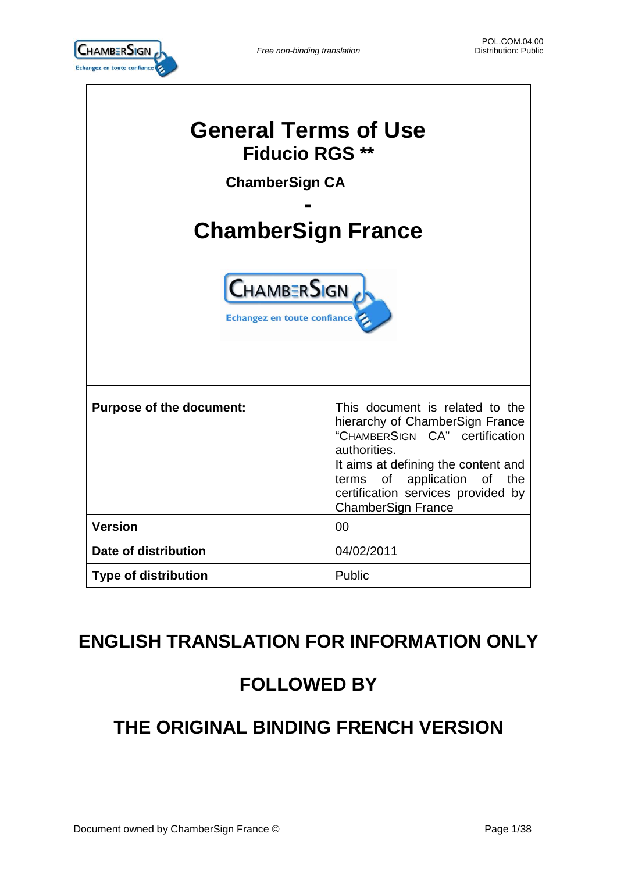

| <b>General Terms of Use</b><br><b>Fiducio RGS **</b><br><b>ChamberSign CA</b><br><b>ChamberSign France</b><br><b>CHAMBERSIGN</b><br>Echangez en toute confiance |                                                                                                                                                                                                                                                                  |  |  |
|-----------------------------------------------------------------------------------------------------------------------------------------------------------------|------------------------------------------------------------------------------------------------------------------------------------------------------------------------------------------------------------------------------------------------------------------|--|--|
| <b>Purpose of the document:</b>                                                                                                                                 | This document is related to the<br>hierarchy of ChamberSign France<br>"CHAMBERSIGN CA" certification<br>authorities.<br>It aims at defining the content and<br>of application of the<br>terms<br>certification services provided by<br><b>ChamberSign France</b> |  |  |
| <b>Version</b>                                                                                                                                                  | 00                                                                                                                                                                                                                                                               |  |  |
| Date of distribution                                                                                                                                            | 04/02/2011                                                                                                                                                                                                                                                       |  |  |
| <b>Type of distribution</b>                                                                                                                                     | Public                                                                                                                                                                                                                                                           |  |  |

## **ENGLISH TRANSLATION FOR INFORMATION ONLY**

# **FOLLOWED BY**

# **THE ORIGINAL BINDING FRENCH VERSION**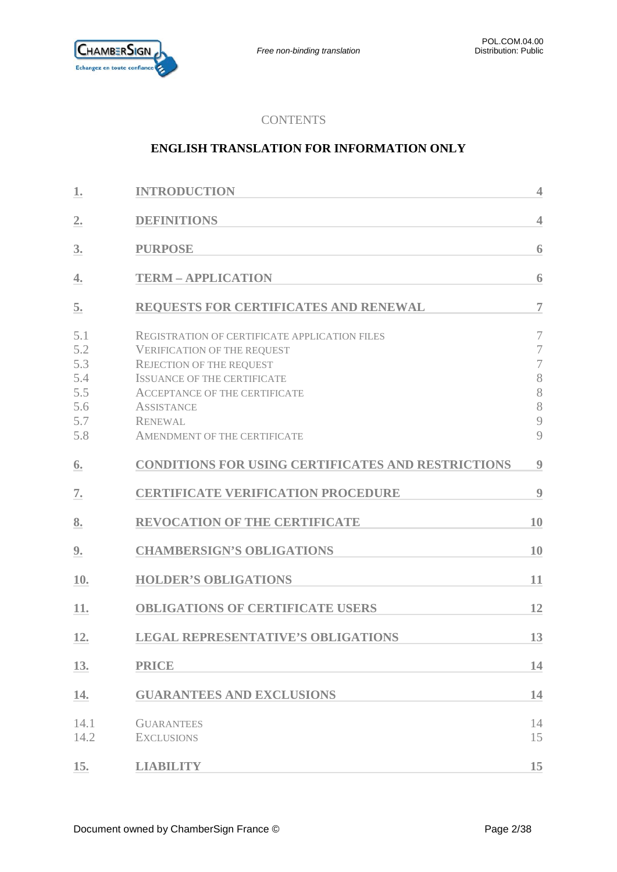

### **CONTENTS**

### **ENGLISH TRANSLATION FOR INFORMATION ONLY**

| 1.                                                   | <b>INTRODUCTION</b>                                                                                                                                                                                                                                                                | $\overline{4}$                                                 |
|------------------------------------------------------|------------------------------------------------------------------------------------------------------------------------------------------------------------------------------------------------------------------------------------------------------------------------------------|----------------------------------------------------------------|
| 2.                                                   | <b>DEFINITIONS</b>                                                                                                                                                                                                                                                                 | $\overline{4}$                                                 |
| 3.                                                   | <b>PURPOSE</b>                                                                                                                                                                                                                                                                     | 6                                                              |
| 4.                                                   | <b>TERM - APPLICATION</b>                                                                                                                                                                                                                                                          | 6                                                              |
| 5.                                                   | REQUESTS FOR CERTIFICATES AND RENEWAL                                                                                                                                                                                                                                              | $\overline{7}$                                                 |
| 5.1<br>5.2<br>5.3<br>5.4<br>5.5<br>5.6<br>5.7<br>5.8 | <b>REGISTRATION OF CERTIFICATE APPLICATION FILES</b><br><b>VERIFICATION OF THE REQUEST</b><br><b>REJECTION OF THE REQUEST</b><br><b>ISSUANCE OF THE CERTIFICATE</b><br><b>ACCEPTANCE OF THE CERTIFICATE</b><br><b>ASSISTANCE</b><br><b>RENEWAL</b><br>AMENDMENT OF THE CERTIFICATE | $\overline{7}$<br>7<br>$\overline{7}$<br>8<br>8<br>8<br>9<br>9 |
| 6.                                                   | <b>CONDITIONS FOR USING CERTIFICATES AND RESTRICTIONS</b>                                                                                                                                                                                                                          | $\boldsymbol{9}$                                               |
| 7.                                                   | <b>CERTIFICATE VERIFICATION PROCEDURE</b>                                                                                                                                                                                                                                          | 9                                                              |
| 8.                                                   | <b>REVOCATION OF THE CERTIFICATE</b>                                                                                                                                                                                                                                               | 10                                                             |
| 9.                                                   | <b>CHAMBERSIGN'S OBLIGATIONS</b>                                                                                                                                                                                                                                                   | 10                                                             |
| 10.                                                  | <b>HOLDER'S OBLIGATIONS</b>                                                                                                                                                                                                                                                        | 11                                                             |
| 11.                                                  | <b>OBLIGATIONS OF CERTIFICATE USERS</b>                                                                                                                                                                                                                                            | 12                                                             |
| 12.                                                  | <b>LEGAL REPRESENTATIVE'S OBLIGATIONS</b>                                                                                                                                                                                                                                          | 13                                                             |
| 13.                                                  | <b>PRICE</b>                                                                                                                                                                                                                                                                       | 14                                                             |
| 14.                                                  | <b>GUARANTEES AND EXCLUSIONS</b>                                                                                                                                                                                                                                                   | 14                                                             |
| 14.1<br>14.2                                         | <b>GUARANTEES</b><br><b>EXCLUSIONS</b>                                                                                                                                                                                                                                             | 14<br>15                                                       |
| 15.                                                  | <b>LIABILITY</b>                                                                                                                                                                                                                                                                   | 15                                                             |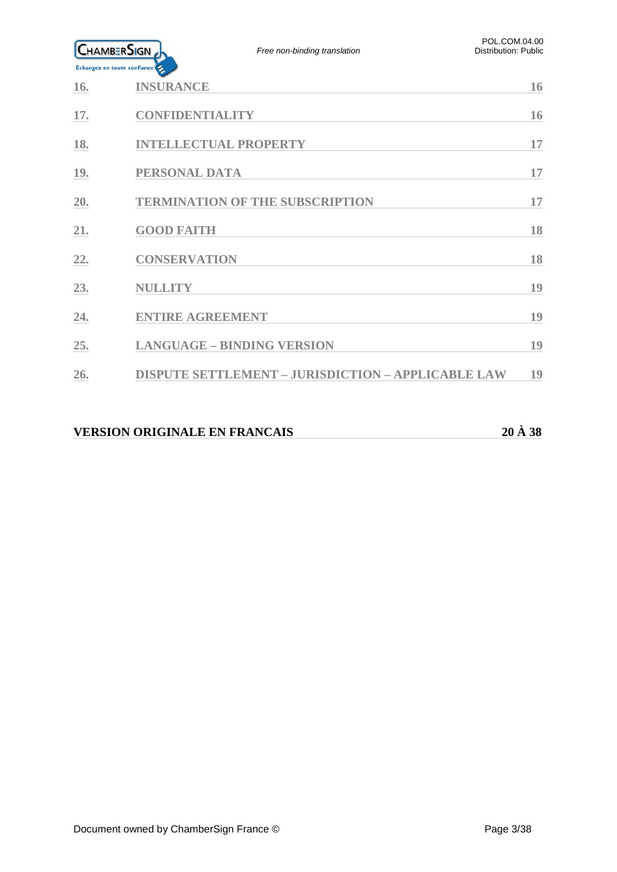

| 16. | <b>INSURANCE</b>                                          | 16 |
|-----|-----------------------------------------------------------|----|
| 17. | <b>CONFIDENTIALITY</b>                                    | 16 |
| 18. | <b>INTELLECTUAL PROPERTY</b>                              | 17 |
| 19. | PERSONAL DATA                                             | 17 |
| 20. | <b>TERMINATION OF THE SUBSCRIPTION</b>                    | 17 |
| 21. | <b>GOOD FAITH</b>                                         | 18 |
| 22. | <b>CONSERVATION</b>                                       | 18 |
| 23. | <b>NULLITY</b>                                            | 19 |
| 24. | <b>ENTIRE AGREEMENT</b>                                   | 19 |
| 25. | <b>LANGUAGE - BINDING VERSION</b>                         | 19 |
| 26. | <b>DISPUTE SETTLEMENT - JURISDICTION - APPLICABLE LAW</b> | 19 |
|     |                                                           |    |

### **VERSION ORIGINALE EN FRANCAIS 20 À 38**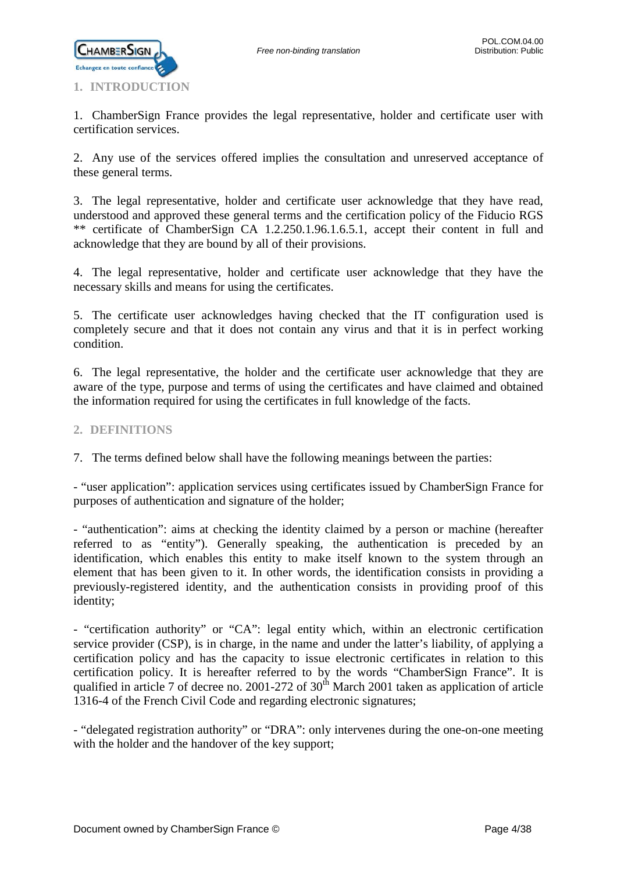

<span id="page-3-0"></span>1. ChamberSign France provides the legal representative, holder and certificate user with certification services.

2. Any use of the services offered implies the consultation and unreserved acceptance of these general terms.

3. The legal representative, holder and certificate user acknowledge that they have read, understood and approved these general terms and the certification policy of the Fiducio RGS \*\* certificate of ChamberSign CA 1.2.250.1.96.1.6.5.1, accept their content in full and acknowledge that they are bound by all of their provisions.

4. The legal representative, holder and certificate user acknowledge that they have the necessary skills and means for using the certificates.

5. The certificate user acknowledges having checked that the IT configuration used is completely secure and that it does not contain any virus and that it is in perfect working condition.

6. The legal representative, the holder and the certificate user acknowledge that they are aware of the type, purpose and terms of using the certificates and have claimed and obtained the information required for using the certificates in full knowledge of the facts.

### <span id="page-3-1"></span>**2. DEFINITIONS**

7. The terms defined below shall have the following meanings between the parties:

- "user application": application services using certificates issued by ChamberSign France for purposes of authentication and signature of the holder;

- "authentication": aims at checking the identity claimed by a person or machine (hereafter referred to as "entity"). Generally speaking, the authentication is preceded by an identification, which enables this entity to make itself known to the system through an element that has been given to it. In other words, the identification consists in providing a previously-registered identity, and the authentication consists in providing proof of this identity;

- "certification authority" or "CA": legal entity which, within an electronic certification service provider (CSP), is in charge, in the name and under the latter's liability, of applying a certification policy and has the capacity to issue electronic certificates in relation to this certification policy. It is hereafter referred to by the words "ChamberSign France". It is qualified in article 7 of decree no. 2001-272 of  $30<sup>th</sup>$  March 2001 taken as application of article 1316-4 of the French Civil Code and regarding electronic signatures;

- "delegated registration authority" or "DRA": only intervenes during the one-on-one meeting with the holder and the handover of the key support;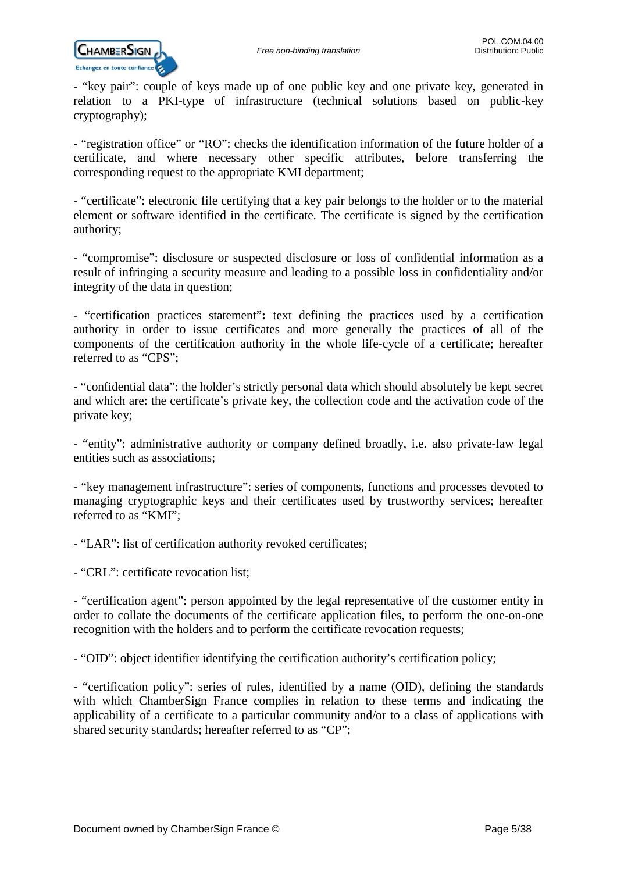

**-** "key pair": couple of keys made up of one public key and one private key, generated in relation to a PKI-type of infrastructure (technical solutions based on public-key cryptography);

**-** "registration office" or "RO": checks the identification information of the future holder of a certificate, and where necessary other specific attributes, before transferring the corresponding request to the appropriate KMI department;

- "certificate": electronic file certifying that a key pair belongs to the holder or to the material element or software identified in the certificate. The certificate is signed by the certification authority;

- "compromise": disclosure or suspected disclosure or loss of confidential information as a result of infringing a security measure and leading to a possible loss in confidentiality and/or integrity of the data in question;

- "certification practices statement"**:** text defining the practices used by a certification authority in order to issue certificates and more generally the practices of all of the components of the certification authority in the whole life-cycle of a certificate; hereafter referred to as "CPS";

**-** "confidential data": the holder's strictly personal data which should absolutely be kept secret and which are: the certificate's private key, the collection code and the activation code of the private key;

- "entity": administrative authority or company defined broadly, i.e. also private-law legal entities such as associations;

- "key management infrastructure": series of components, functions and processes devoted to managing cryptographic keys and their certificates used by trustworthy services; hereafter referred to as "KMI";

- "LAR": list of certification authority revoked certificates;

- "CRL": certificate revocation list;

- "certification agent": person appointed by the legal representative of the customer entity in order to collate the documents of the certificate application files, to perform the one-on-one recognition with the holders and to perform the certificate revocation requests;

- "OID": object identifier identifying the certification authority's certification policy;

**-** "certification policy": series of rules, identified by a name (OID), defining the standards with which ChamberSign France complies in relation to these terms and indicating the applicability of a certificate to a particular community and/or to a class of applications with shared security standards; hereafter referred to as "CP";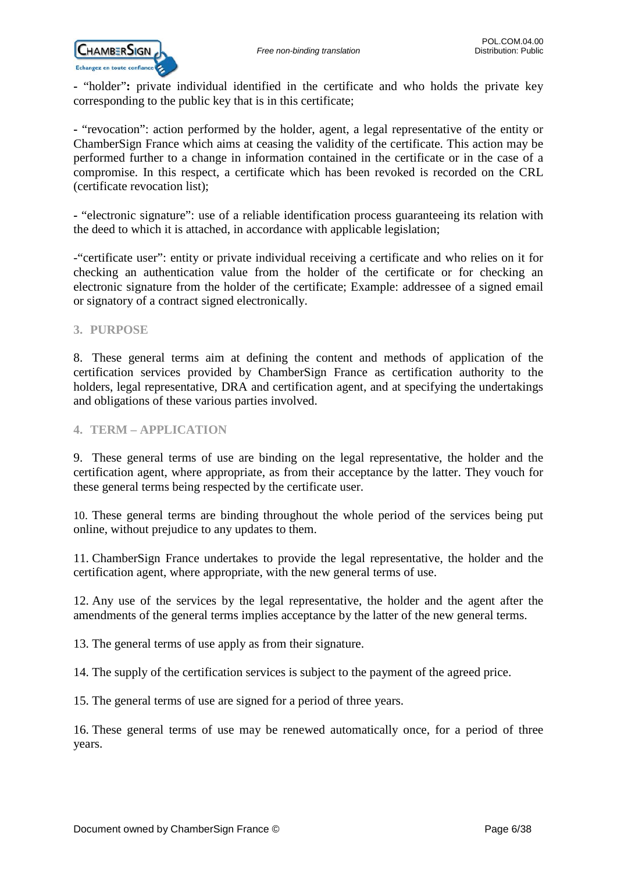**-** "holder"**:** private individual identified in the certificate and who holds the private key corresponding to the public key that is in this certificate;

**-** "revocation": action performed by the holder, agent, a legal representative of the entity or ChamberSign France which aims at ceasing the validity of the certificate. This action may be performed further to a change in information contained in the certificate or in the case of a compromise. In this respect, a certificate which has been revoked is recorded on the CRL (certificate revocation list);

**-** "electronic signature": use of a reliable identification process guaranteeing its relation with the deed to which it is attached, in accordance with applicable legislation;

-"certificate user": entity or private individual receiving a certificate and who relies on it for checking an authentication value from the holder of the certificate or for checking an electronic signature from the holder of the certificate; Example: addressee of a signed email or signatory of a contract signed electronically.

### <span id="page-5-0"></span>**3. PURPOSE**

8. These general terms aim at defining the content and methods of application of the certification services provided by ChamberSign France as certification authority to the holders, legal representative, DRA and certification agent, and at specifying the undertakings and obligations of these various parties involved.

### <span id="page-5-1"></span>**4. TERM – APPLICATION**

9. These general terms of use are binding on the legal representative, the holder and the certification agent, where appropriate, as from their acceptance by the latter. They vouch for these general terms being respected by the certificate user.

10. These general terms are binding throughout the whole period of the services being put online, without prejudice to any updates to them.

11. ChamberSign France undertakes to provide the legal representative, the holder and the certification agent, where appropriate, with the new general terms of use.

12. Any use of the services by the legal representative, the holder and the agent after the amendments of the general terms implies acceptance by the latter of the new general terms.

13. The general terms of use apply as from their signature.

14. The supply of the certification services is subject to the payment of the agreed price.

15. The general terms of use are signed for a period of three years.

16. These general terms of use may be renewed automatically once, for a period of three years.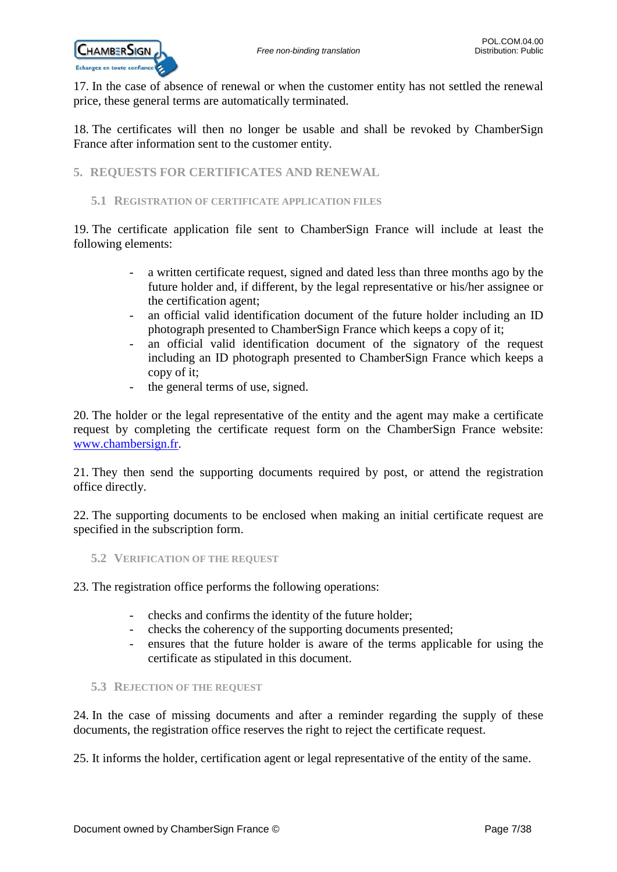

17. In the case of absence of renewal or when the customer entity has not settled the renewal price, these general terms are automatically terminated.

18. The certificates will then no longer be usable and shall be revoked by ChamberSign France after information sent to the customer entity.

<span id="page-6-0"></span>**5. REQUESTS FOR CERTIFICATES AND RENEWAL**

### <span id="page-6-1"></span>**5.1 REGISTRATION OF CERTIFICATE APPLICATION FILES**

19. The certificate application file sent to ChamberSign France will include at least the following elements:

- a written certificate request, signed and dated less than three months ago by the future holder and, if different, by the legal representative or his/her assignee or the certification agent;
- an official valid identification document of the future holder including an ID photograph presented to ChamberSign France which keeps a copy of it;
- an official valid identification document of the signatory of the request including an ID photograph presented to ChamberSign France which keeps a copy of it;
- the general terms of use, signed.

20. The holder or the legal representative of the entity and the agent may make a certificate request by completing the certificate request form on the ChamberSign France website: [www.chambersign.fr.](http://www.chambersign.fr/)

21. They then send the supporting documents required by post, or attend the registration office directly.

22. The supporting documents to be enclosed when making an initial certificate request are specified in the subscription form.

<span id="page-6-2"></span>**5.2 VERIFICATION OF THE REQUEST**

23. The registration office performs the following operations:

- checks and confirms the identity of the future holder;
- checks the coherency of the supporting documents presented;
- ensures that the future holder is aware of the terms applicable for using the certificate as stipulated in this document.

### <span id="page-6-3"></span>**5.3 REJECTION OF THE REQUEST**

24. In the case of missing documents and after a reminder regarding the supply of these documents, the registration office reserves the right to reject the certificate request.

25. It informs the holder, certification agent or legal representative of the entity of the same.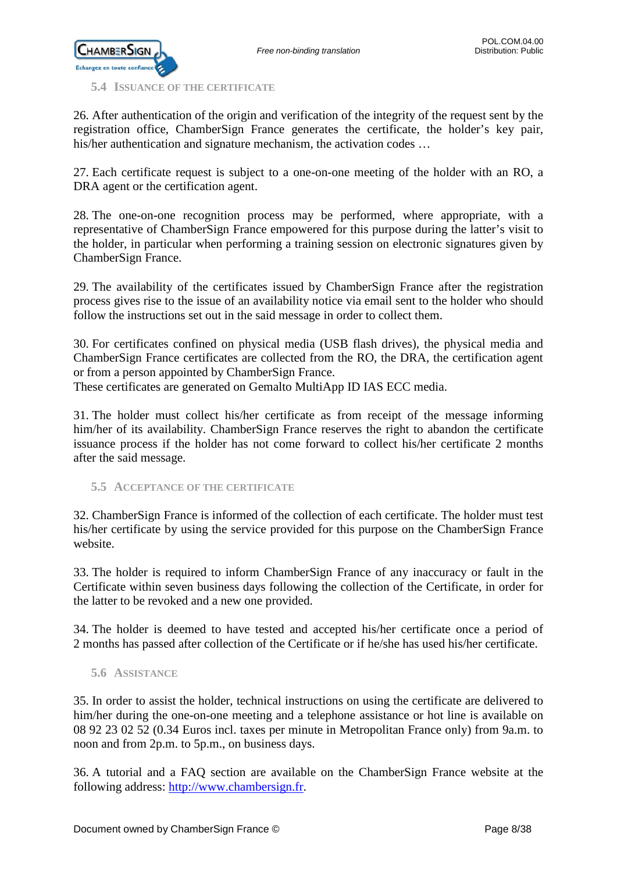

<span id="page-7-0"></span>**5.4 ISSUANCE OF THE CERTIFICATE**

26. After authentication of the origin and verification of the integrity of the request sent by the registration office, ChamberSign France generates the certificate, the holder's key pair, his/her authentication and signature mechanism, the activation codes …

27. Each certificate request is subject to a one-on-one meeting of the holder with an RO, a DRA agent or the certification agent.

28. The one-on-one recognition process may be performed, where appropriate, with a representative of ChamberSign France empowered for this purpose during the latter's visit to the holder, in particular when performing a training session on electronic signatures given by ChamberSign France.

29. The availability of the certificates issued by ChamberSign France after the registration process gives rise to the issue of an availability notice via email sent to the holder who should follow the instructions set out in the said message in order to collect them.

30. For certificates confined on physical media (USB flash drives), the physical media and ChamberSign France certificates are collected from the RO, the DRA, the certification agent or from a person appointed by ChamberSign France.

These certificates are generated on Gemalto MultiApp ID IAS ECC media.

31. The holder must collect his/her certificate as from receipt of the message informing him/her of its availability. ChamberSign France reserves the right to abandon the certificate issuance process if the holder has not come forward to collect his/her certificate 2 months after the said message.

<span id="page-7-1"></span>**5.5 ACCEPTANCE OF THE CERTIFICATE**

32. ChamberSign France is informed of the collection of each certificate. The holder must test his/her certificate by using the service provided for this purpose on the ChamberSign France website.

33. The holder is required to inform ChamberSign France of any inaccuracy or fault in the Certificate within seven business days following the collection of the Certificate, in order for the latter to be revoked and a new one provided.

34. The holder is deemed to have tested and accepted his/her certificate once a period of 2 months has passed after collection of the Certificate or if he/she has used his/her certificate.

### <span id="page-7-2"></span>**5.6 ASSISTANCE**

35. In order to assist the holder, technical instructions on using the certificate are delivered to him/her during the one-on-one meeting and a telephone assistance or hot line is available on 08 92 23 02 52 (0.34 Euros incl. taxes per minute in Metropolitan France only) from 9a.m. to noon and from 2p.m. to 5p.m., on business days.

36. A tutorial and a FAQ section are available on the ChamberSign France website at the following address: [http://www.chambersign.fr.](http://www.chambersign.fr/)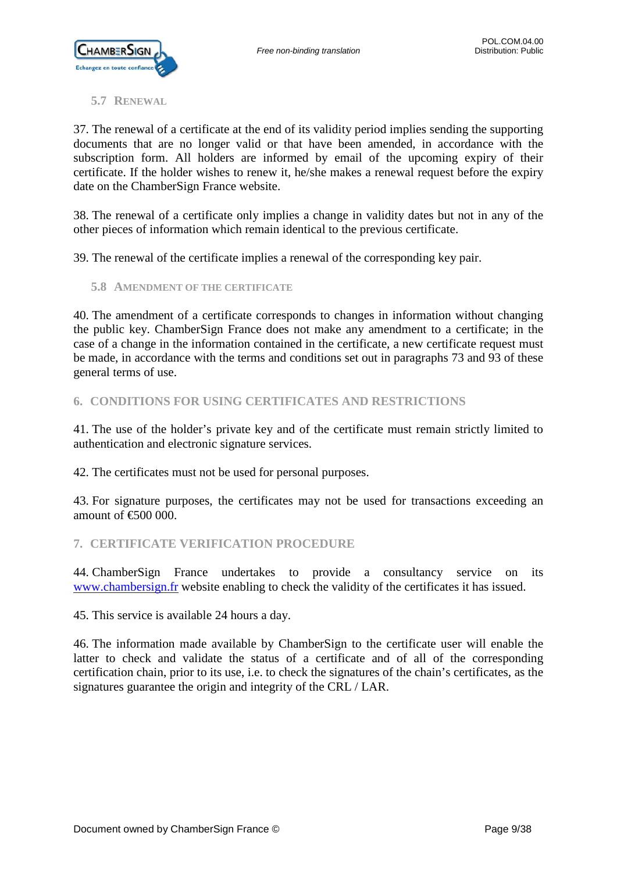

### <span id="page-8-0"></span>**5.7 RENEWAL**

37. The renewal of a certificate at the end of its validity period implies sending the supporting documents that are no longer valid or that have been amended, in accordance with the subscription form. All holders are informed by email of the upcoming expiry of their certificate. If the holder wishes to renew it, he/she makes a renewal request before the expiry date on the ChamberSign France website.

38. The renewal of a certificate only implies a change in validity dates but not in any of the other pieces of information which remain identical to the previous certificate.

39. The renewal of the certificate implies a renewal of the corresponding key pair.

<span id="page-8-1"></span>**5.8 AMENDMENT OF THE CERTIFICATE**

40. The amendment of a certificate corresponds to changes in information without changing the public key. ChamberSign France does not make any amendment to a certificate; in the case of a change in the information contained in the certificate, a new certificate request must be made, in accordance with the terms and conditions set out in paragraphs 73 and 93 of these general terms of use.

### <span id="page-8-2"></span>**6. CONDITIONS FOR USING CERTIFICATES AND RESTRICTIONS**

41. The use of the holder's private key and of the certificate must remain strictly limited to authentication and electronic signature services.

42. The certificates must not be used for personal purposes.

43. For signature purposes, the certificates may not be used for transactions exceeding an amount of  $\epsilon$  600 000.

### <span id="page-8-3"></span>**7. CERTIFICATE VERIFICATION PROCEDURE**

44. ChamberSign France undertakes to provide a consultancy service on its [www.chambersign.fr](http://www.chambersign.fr/) website enabling to check the validity of the certificates it has issued.

45. This service is available 24 hours a day.

46. The information made available by ChamberSign to the certificate user will enable the latter to check and validate the status of a certificate and of all of the corresponding certification chain, prior to its use, i.e. to check the signatures of the chain's certificates, as the signatures guarantee the origin and integrity of the CRL / LAR.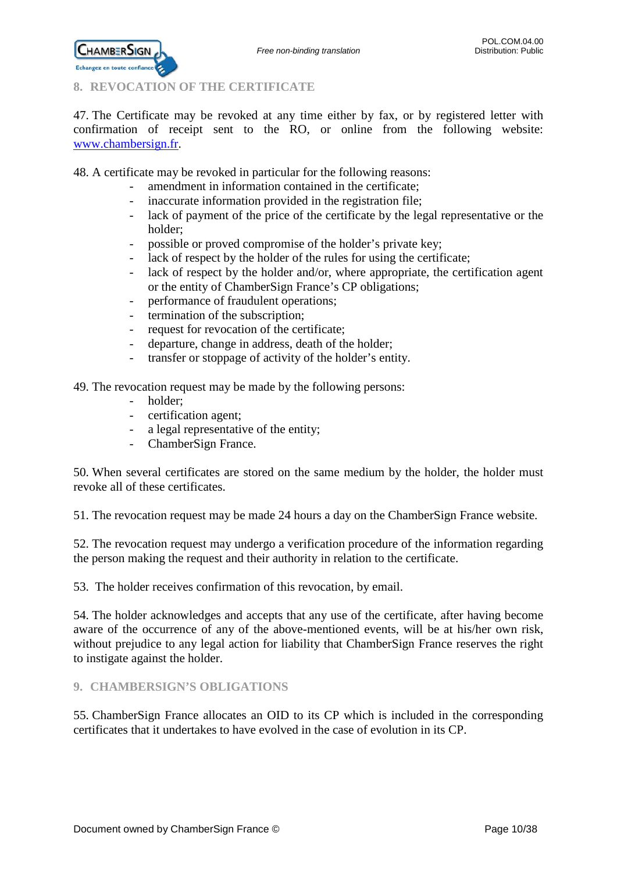

<span id="page-9-0"></span>**8. REVOCATION OF THE CERTIFICATE**

47. The Certificate may be revoked at any time either by fax, or by registered letter with confirmation of receipt sent to the RO, or online from the following website: [www.chambersign.fr.](http://www.chambersign.fr/)

48. A certificate may be revoked in particular for the following reasons:

- amendment in information contained in the certificate;
- inaccurate information provided in the registration file;
- lack of payment of the price of the certificate by the legal representative or the holder;
- possible or proved compromise of the holder's private key;
- lack of respect by the holder of the rules for using the certificate;
- lack of respect by the holder and/or, where appropriate, the certification agent or the entity of ChamberSign France's CP obligations;
- performance of fraudulent operations;
- termination of the subscription;
- request for revocation of the certificate;
- departure, change in address, death of the holder;
- transfer or stoppage of activity of the holder's entity.

49. The revocation request may be made by the following persons:

- holder;
- certification agent;
- a legal representative of the entity;
- ChamberSign France.

50. When several certificates are stored on the same medium by the holder, the holder must revoke all of these certificates.

51. The revocation request may be made 24 hours a day on the ChamberSign France website.

52. The revocation request may undergo a verification procedure of the information regarding the person making the request and their authority in relation to the certificate.

53. The holder receives confirmation of this revocation, by email.

54. The holder acknowledges and accepts that any use of the certificate, after having become aware of the occurrence of any of the above-mentioned events, will be at his/her own risk, without prejudice to any legal action for liability that ChamberSign France reserves the right to instigate against the holder.

### <span id="page-9-1"></span>**9. CHAMBERSIGN'S OBLIGATIONS**

55. ChamberSign France allocates an OID to its CP which is included in the corresponding certificates that it undertakes to have evolved in the case of evolution in its CP.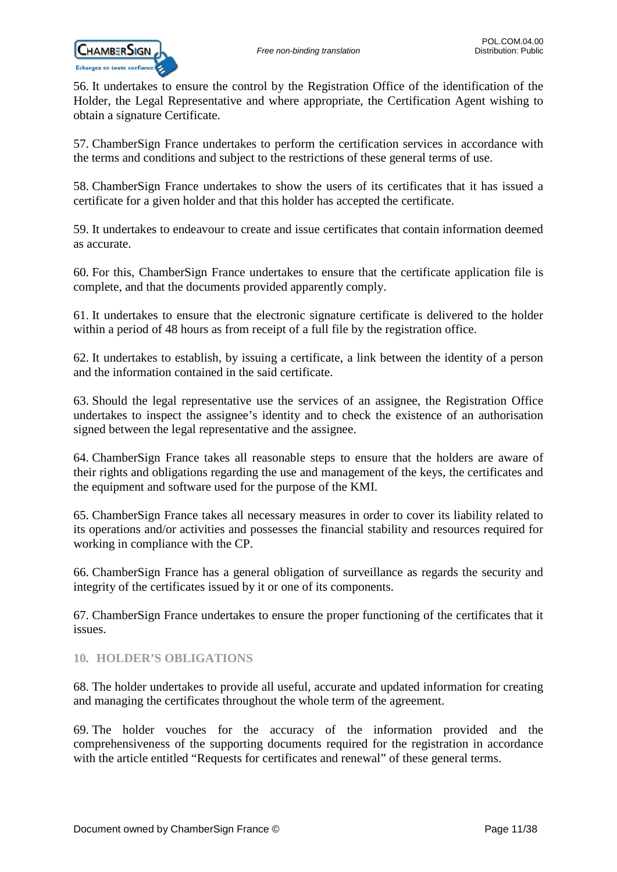

56. It undertakes to ensure the control by the Registration Office of the identification of the Holder, the Legal Representative and where appropriate, the Certification Agent wishing to obtain a signature Certificate.

57. ChamberSign France undertakes to perform the certification services in accordance with the terms and conditions and subject to the restrictions of these general terms of use.

58. ChamberSign France undertakes to show the users of its certificates that it has issued a certificate for a given holder and that this holder has accepted the certificate.

59. It undertakes to endeavour to create and issue certificates that contain information deemed as accurate.

60. For this, ChamberSign France undertakes to ensure that the certificate application file is complete, and that the documents provided apparently comply.

61. It undertakes to ensure that the electronic signature certificate is delivered to the holder within a period of 48 hours as from receipt of a full file by the registration office.

62. It undertakes to establish, by issuing a certificate, a link between the identity of a person and the information contained in the said certificate.

63. Should the legal representative use the services of an assignee, the Registration Office undertakes to inspect the assignee's identity and to check the existence of an authorisation signed between the legal representative and the assignee.

64. ChamberSign France takes all reasonable steps to ensure that the holders are aware of their rights and obligations regarding the use and management of the keys, the certificates and the equipment and software used for the purpose of the KMI.

65. ChamberSign France takes all necessary measures in order to cover its liability related to its operations and/or activities and possesses the financial stability and resources required for working in compliance with the CP.

66. ChamberSign France has a general obligation of surveillance as regards the security and integrity of the certificates issued by it or one of its components.

67. ChamberSign France undertakes to ensure the proper functioning of the certificates that it issues.

### <span id="page-10-0"></span>**10. HOLDER'S OBLIGATIONS**

68. The holder undertakes to provide all useful, accurate and updated information for creating and managing the certificates throughout the whole term of the agreement.

69. The holder vouches for the accuracy of the information provided and the comprehensiveness of the supporting documents required for the registration in accordance with the article entitled "Requests for certificates and renewal" of these general terms.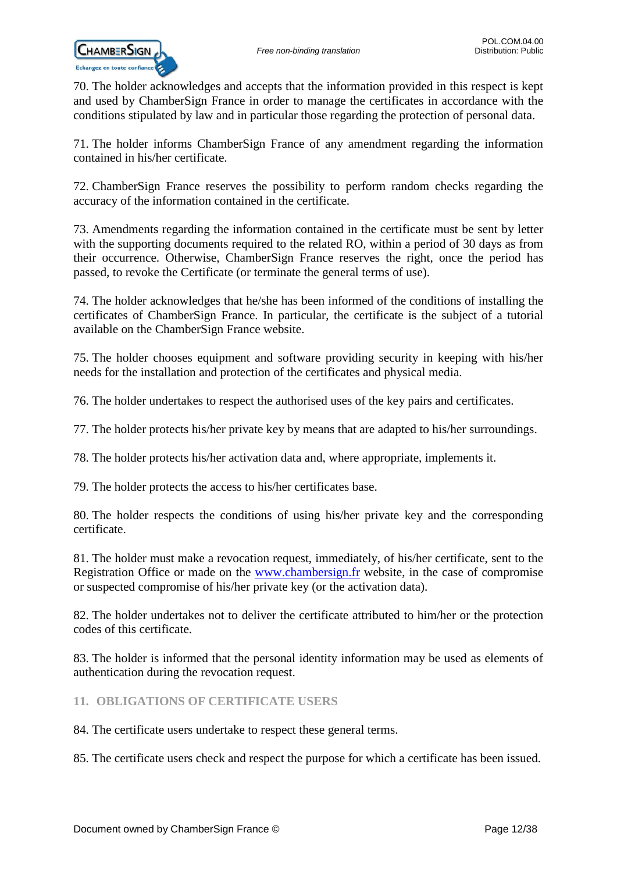

70. The holder acknowledges and accepts that the information provided in this respect is kept and used by ChamberSign France in order to manage the certificates in accordance with the conditions stipulated by law and in particular those regarding the protection of personal data.

71. The holder informs ChamberSign France of any amendment regarding the information contained in his/her certificate.

72. ChamberSign France reserves the possibility to perform random checks regarding the accuracy of the information contained in the certificate.

73. Amendments regarding the information contained in the certificate must be sent by letter with the supporting documents required to the related RO, within a period of 30 days as from their occurrence. Otherwise, ChamberSign France reserves the right, once the period has passed, to revoke the Certificate (or terminate the general terms of use).

74. The holder acknowledges that he/she has been informed of the conditions of installing the certificates of ChamberSign France. In particular, the certificate is the subject of a tutorial available on the ChamberSign France website.

75. The holder chooses equipment and software providing security in keeping with his/her needs for the installation and protection of the certificates and physical media.

76. The holder undertakes to respect the authorised uses of the key pairs and certificates.

77. The holder protects his/her private key by means that are adapted to his/her surroundings.

78. The holder protects his/her activation data and, where appropriate, implements it.

79. The holder protects the access to his/her certificates base.

80. The holder respects the conditions of using his/her private key and the corresponding certificate.

81. The holder must make a revocation request, immediately, of his/her certificate, sent to the Registration Office or made on the [www.chambersign.fr](http://www.chambersign.fr/) website, in the case of compromise or suspected compromise of his/her private key (or the activation data).

82. The holder undertakes not to deliver the certificate attributed to him/her or the protection codes of this certificate.

83. The holder is informed that the personal identity information may be used as elements of authentication during the revocation request.

### <span id="page-11-0"></span>**11. OBLIGATIONS OF CERTIFICATE USERS**

84. The certificate users undertake to respect these general terms.

85. The certificate users check and respect the purpose for which a certificate has been issued.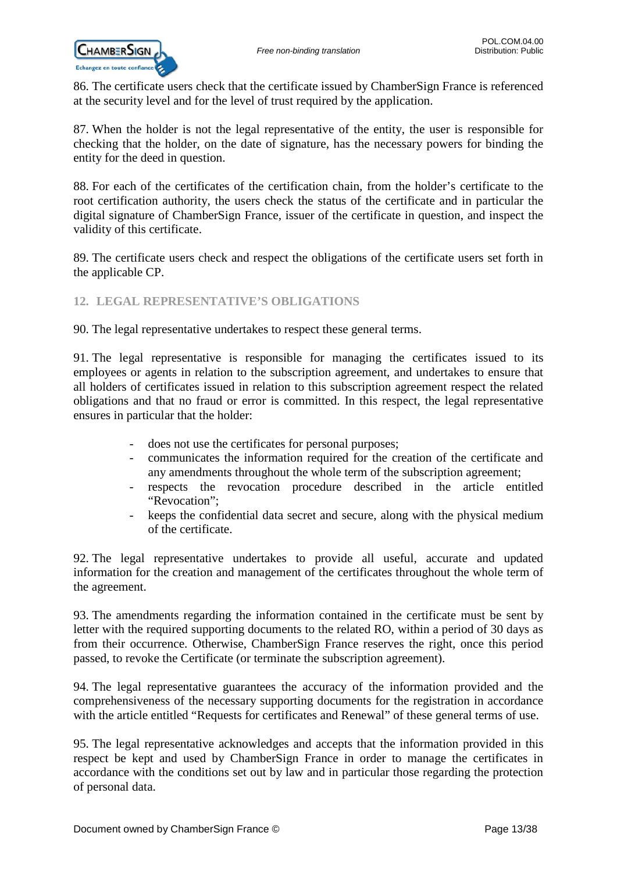86. The certificate users check that the certificate issued by ChamberSign France is referenced at the security level and for the level of trust required by the application.

87. When the holder is not the legal representative of the entity, the user is responsible for checking that the holder, on the date of signature, has the necessary powers for binding the entity for the deed in question.

88. For each of the certificates of the certification chain, from the holder's certificate to the root certification authority, the users check the status of the certificate and in particular the digital signature of ChamberSign France, issuer of the certificate in question, and inspect the validity of this certificate.

89. The certificate users check and respect the obligations of the certificate users set forth in the applicable CP.

### <span id="page-12-0"></span>**12. LEGAL REPRESENTATIVE'S OBLIGATIONS**

90. The legal representative undertakes to respect these general terms.

91. The legal representative is responsible for managing the certificates issued to its employees or agents in relation to the subscription agreement, and undertakes to ensure that all holders of certificates issued in relation to this subscription agreement respect the related obligations and that no fraud or error is committed. In this respect, the legal representative ensures in particular that the holder:

- does not use the certificates for personal purposes;
- communicates the information required for the creation of the certificate and any amendments throughout the whole term of the subscription agreement;
- respects the revocation procedure described in the article entitled "Revocation";
- keeps the confidential data secret and secure, along with the physical medium of the certificate.

92. The legal representative undertakes to provide all useful, accurate and updated information for the creation and management of the certificates throughout the whole term of the agreement.

93. The amendments regarding the information contained in the certificate must be sent by letter with the required supporting documents to the related RO, within a period of 30 days as from their occurrence. Otherwise, ChamberSign France reserves the right, once this period passed, to revoke the Certificate (or terminate the subscription agreement).

94. The legal representative guarantees the accuracy of the information provided and the comprehensiveness of the necessary supporting documents for the registration in accordance with the article entitled "Requests for certificates and Renewal" of these general terms of use.

95. The legal representative acknowledges and accepts that the information provided in this respect be kept and used by ChamberSign France in order to manage the certificates in accordance with the conditions set out by law and in particular those regarding the protection of personal data.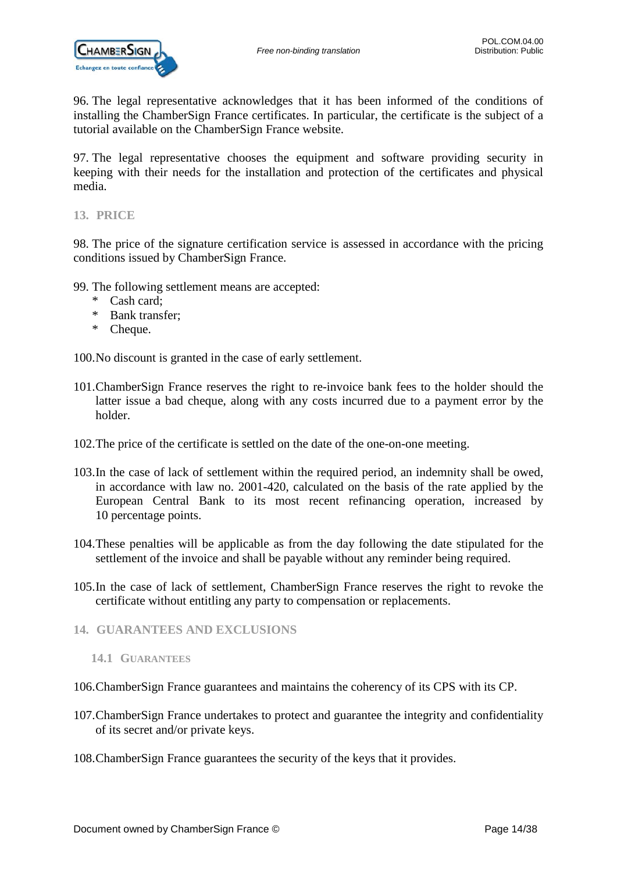

96. The legal representative acknowledges that it has been informed of the conditions of installing the ChamberSign France certificates. In particular, the certificate is the subject of a tutorial available on the ChamberSign France website.

97. The legal representative chooses the equipment and software providing security in keeping with their needs for the installation and protection of the certificates and physical media.

<span id="page-13-0"></span>**13. PRICE**

98. The price of the signature certification service is assessed in accordance with the pricing conditions issued by ChamberSign France.

- 99. The following settlement means are accepted:
	- \* Cash card;
	- \* Bank transfer;
	- \* Cheque.

100.No discount is granted in the case of early settlement.

- 101.ChamberSign France reserves the right to re-invoice bank fees to the holder should the latter issue a bad cheque, along with any costs incurred due to a payment error by the holder.
- 102.The price of the certificate is settled on the date of the one-on-one meeting.
- 103.In the case of lack of settlement within the required period, an indemnity shall be owed, in accordance with law no. 2001-420, calculated on the basis of the rate applied by the European Central Bank to its most recent refinancing operation, increased by 10 percentage points.
- 104.These penalties will be applicable as from the day following the date stipulated for the settlement of the invoice and shall be payable without any reminder being required.
- 105.In the case of lack of settlement, ChamberSign France reserves the right to revoke the certificate without entitling any party to compensation or replacements.
- <span id="page-13-2"></span><span id="page-13-1"></span>**14. GUARANTEES AND EXCLUSIONS**
	- **14.1 GUARANTEES**
- 106.ChamberSign France guarantees and maintains the coherency of its CPS with its CP.
- 107.ChamberSign France undertakes to protect and guarantee the integrity and confidentiality of its secret and/or private keys.
- 108.ChamberSign France guarantees the security of the keys that it provides.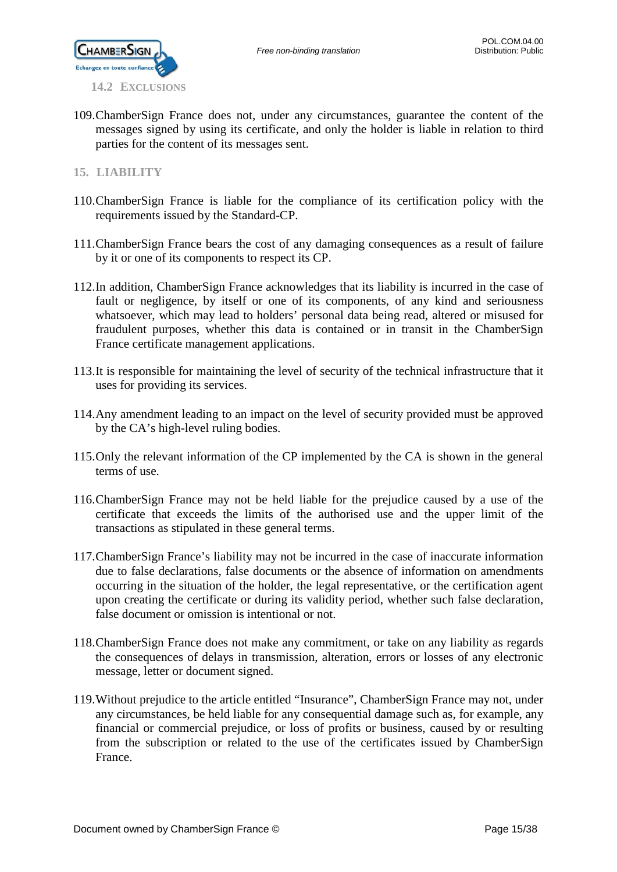

<span id="page-14-0"></span>109.ChamberSign France does not, under any circumstances, guarantee the content of the messages signed by using its certificate, and only the holder is liable in relation to third parties for the content of its messages sent.

### <span id="page-14-1"></span>**15. LIABILITY**

- 110.ChamberSign France is liable for the compliance of its certification policy with the requirements issued by the Standard-CP.
- 111.ChamberSign France bears the cost of any damaging consequences as a result of failure by it or one of its components to respect its CP.
- 112.In addition, ChamberSign France acknowledges that its liability is incurred in the case of fault or negligence, by itself or one of its components, of any kind and seriousness whatsoever, which may lead to holders' personal data being read, altered or misused for fraudulent purposes, whether this data is contained or in transit in the ChamberSign France certificate management applications.
- 113.It is responsible for maintaining the level of security of the technical infrastructure that it uses for providing its services.
- 114.Any amendment leading to an impact on the level of security provided must be approved by the CA's high-level ruling bodies.
- 115.Only the relevant information of the CP implemented by the CA is shown in the general terms of use.
- 116.ChamberSign France may not be held liable for the prejudice caused by a use of the certificate that exceeds the limits of the authorised use and the upper limit of the transactions as stipulated in these general terms.
- 117.ChamberSign France's liability may not be incurred in the case of inaccurate information due to false declarations, false documents or the absence of information on amendments occurring in the situation of the holder, the legal representative, or the certification agent upon creating the certificate or during its validity period, whether such false declaration, false document or omission is intentional or not.
- 118.ChamberSign France does not make any commitment, or take on any liability as regards the consequences of delays in transmission, alteration, errors or losses of any electronic message, letter or document signed.
- 119.Without prejudice to the article entitled "Insurance", ChamberSign France may not, under any circumstances, be held liable for any consequential damage such as, for example, any financial or commercial prejudice, or loss of profits or business, caused by or resulting from the subscription or related to the use of the certificates issued by ChamberSign France.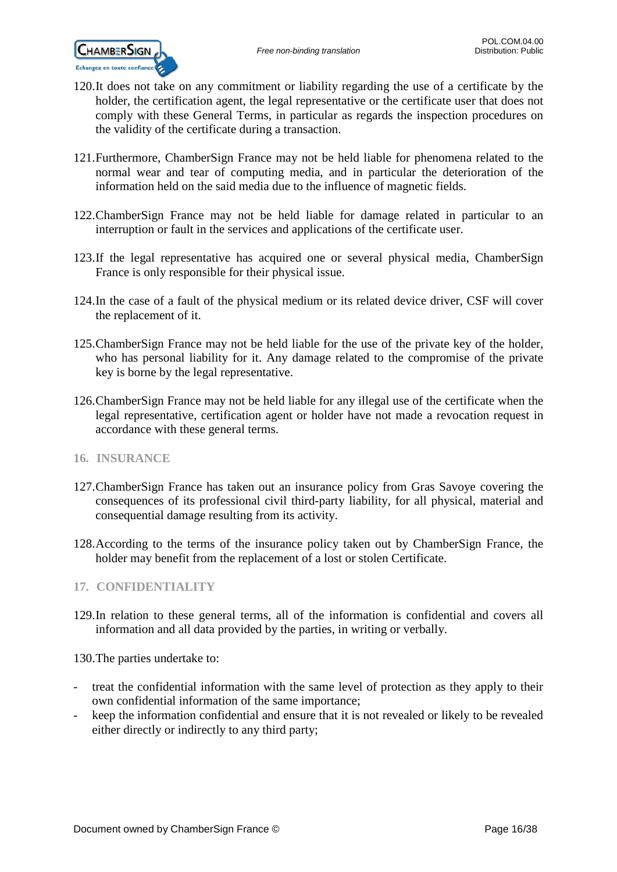

- 120.It does not take on any commitment or liability regarding the use of a certificate by the holder, the certification agent, the legal representative or the certificate user that does not comply with these General Terms, in particular as regards the inspection procedures on the validity of the certificate during a transaction.
- 121.Furthermore, ChamberSign France may not be held liable for phenomena related to the normal wear and tear of computing media, and in particular the deterioration of the information held on the said media due to the influence of magnetic fields.
- 122.ChamberSign France may not be held liable for damage related in particular to an interruption or fault in the services and applications of the certificate user.
- 123.If the legal representative has acquired one or several physical media, ChamberSign France is only responsible for their physical issue.
- 124.In the case of a fault of the physical medium or its related device driver, CSF will cover the replacement of it.
- 125.ChamberSign France may not be held liable for the use of the private key of the holder, who has personal liability for it. Any damage related to the compromise of the private key is borne by the legal representative.
- 126.ChamberSign France may not be held liable for any illegal use of the certificate when the legal representative, certification agent or holder have not made a revocation request in accordance with these general terms.
- <span id="page-15-0"></span>**16. INSURANCE**
- 127.ChamberSign France has taken out an insurance policy from Gras Savoye covering the consequences of its professional civil third-party liability, for all physical, material and consequential damage resulting from its activity.
- 128.According to the terms of the insurance policy taken out by ChamberSign France, the holder may benefit from the replacement of a lost or stolen Certificate.

### <span id="page-15-1"></span>**17. CONFIDENTIALITY**

129.In relation to these general terms, all of the information is confidential and covers all information and all data provided by the parties, in writing or verbally.

130.The parties undertake to:

- treat the confidential information with the same level of protection as they apply to their own confidential information of the same importance;
- keep the information confidential and ensure that it is not revealed or likely to be revealed either directly or indirectly to any third party;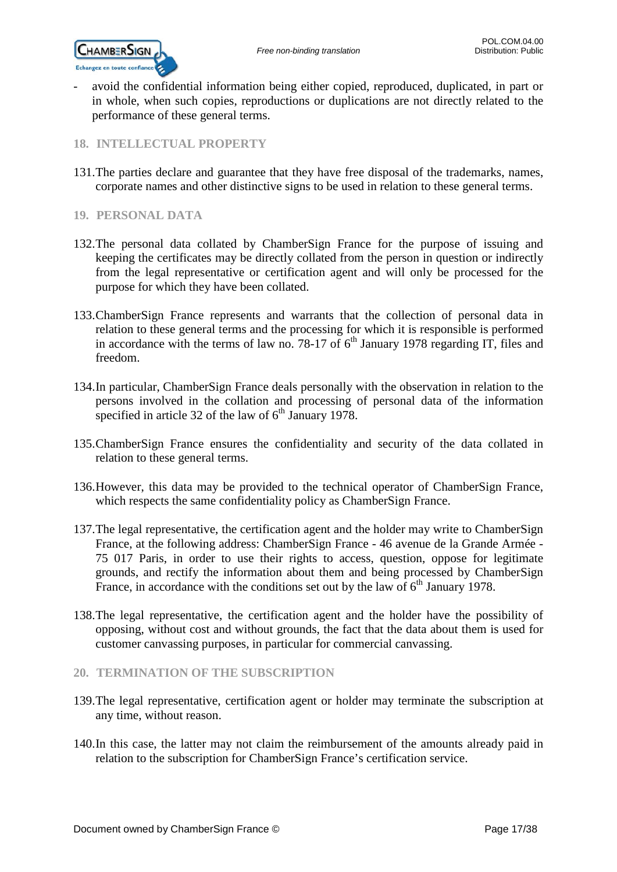

avoid the confidential information being either copied, reproduced, duplicated, in part or in whole, when such copies, reproductions or duplications are not directly related to the performance of these general terms.

### <span id="page-16-0"></span>**18. INTELLECTUAL PROPERTY**

- 131.The parties declare and guarantee that they have free disposal of the trademarks, names, corporate names and other distinctive signs to be used in relation to these general terms.
- <span id="page-16-1"></span>**19. PERSONAL DATA**
- 132.The personal data collated by ChamberSign France for the purpose of issuing and keeping the certificates may be directly collated from the person in question or indirectly from the legal representative or certification agent and will only be processed for the purpose for which they have been collated.
- 133.ChamberSign France represents and warrants that the collection of personal data in relation to these general terms and the processing for which it is responsible is performed in accordance with the terms of law no. 78-17 of  $6<sup>th</sup>$  January 1978 regarding IT, files and freedom.
- 134.In particular, ChamberSign France deals personally with the observation in relation to the persons involved in the collation and processing of personal data of the information specified in article 32 of the law of  $6<sup>th</sup>$  January 1978.
- 135.ChamberSign France ensures the confidentiality and security of the data collated in relation to these general terms.
- 136.However, this data may be provided to the technical operator of ChamberSign France, which respects the same confidentiality policy as ChamberSign France.
- 137.The legal representative, the certification agent and the holder may write to ChamberSign France, at the following address: ChamberSign France - 46 avenue de la Grande Armée - 75 017 Paris, in order to use their rights to access, question, oppose for legitimate grounds, and rectify the information about them and being processed by ChamberSign France, in accordance with the conditions set out by the law of  $6<sup>th</sup>$  January 1978.
- 138.The legal representative, the certification agent and the holder have the possibility of opposing, without cost and without grounds, the fact that the data about them is used for customer canvassing purposes, in particular for commercial canvassing.

### <span id="page-16-2"></span>**20. TERMINATION OF THE SUBSCRIPTION**

- 139.The legal representative, certification agent or holder may terminate the subscription at any time, without reason.
- 140.In this case, the latter may not claim the reimbursement of the amounts already paid in relation to the subscription for ChamberSign France's certification service.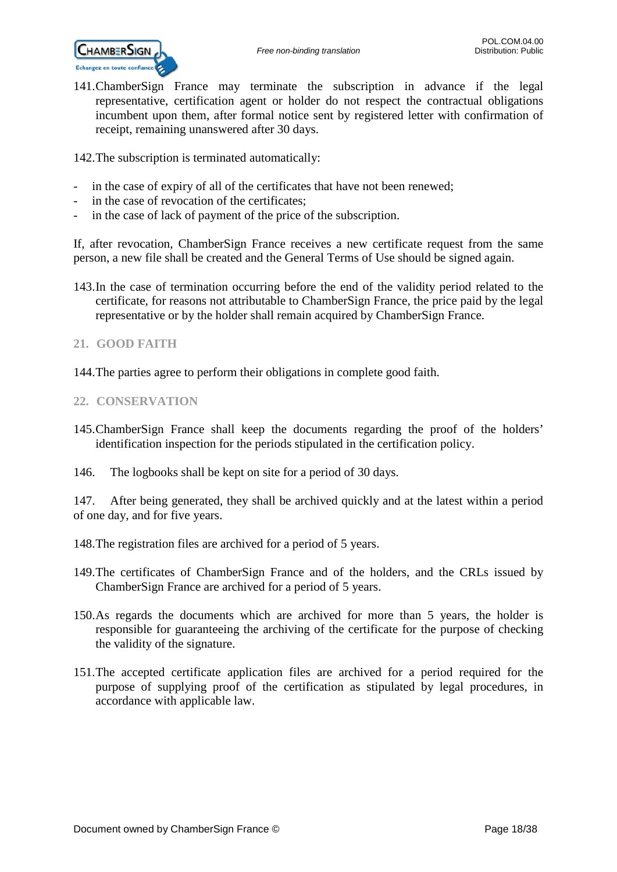

141.ChamberSign France may terminate the subscription in advance if the legal representative, certification agent or holder do not respect the contractual obligations incumbent upon them, after formal notice sent by registered letter with confirmation of receipt, remaining unanswered after 30 days.

142.The subscription is terminated automatically:

- in the case of expiry of all of the certificates that have not been renewed;
- in the case of revocation of the certificates;
- in the case of lack of payment of the price of the subscription.

If, after revocation, ChamberSign France receives a new certificate request from the same person, a new file shall be created and the General Terms of Use should be signed again.

- 143.In the case of termination occurring before the end of the validity period related to the certificate, for reasons not attributable to ChamberSign France, the price paid by the legal representative or by the holder shall remain acquired by ChamberSign France.
- <span id="page-17-0"></span>**21. GOOD FAITH**
- 144.The parties agree to perform their obligations in complete good faith.

### <span id="page-17-1"></span>**22. CONSERVATION**

- 145.ChamberSign France shall keep the documents regarding the proof of the holders' identification inspection for the periods stipulated in the certification policy.
- 146. The logbooks shall be kept on site for a period of 30 days.

147. After being generated, they shall be archived quickly and at the latest within a period of one day, and for five years.

- 148.The registration files are archived for a period of 5 years.
- 149.The certificates of ChamberSign France and of the holders, and the CRLs issued by ChamberSign France are archived for a period of 5 years.
- 150.As regards the documents which are archived for more than 5 years, the holder is responsible for guaranteeing the archiving of the certificate for the purpose of checking the validity of the signature.
- 151.The accepted certificate application files are archived for a period required for the purpose of supplying proof of the certification as stipulated by legal procedures, in accordance with applicable law.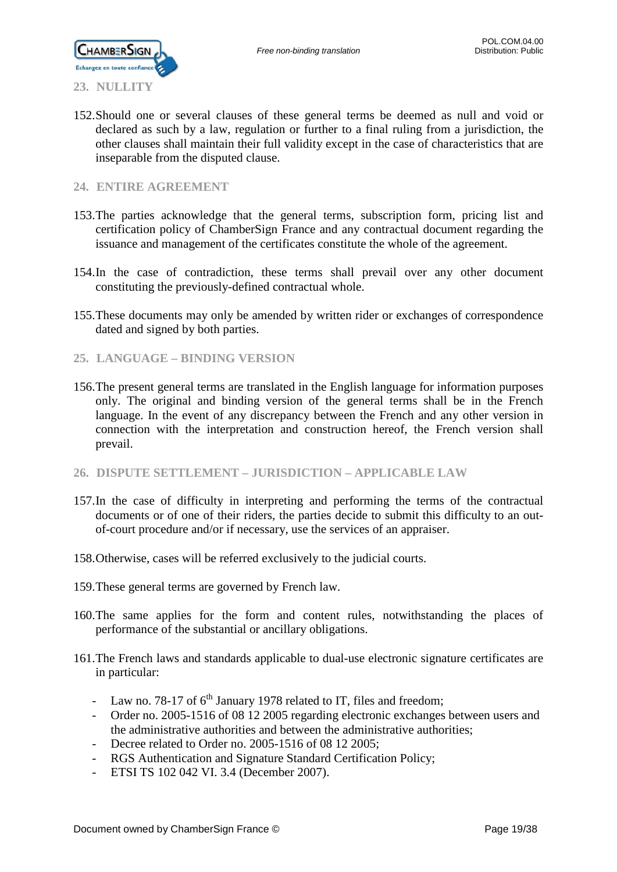

<span id="page-18-0"></span>152.Should one or several clauses of these general terms be deemed as null and void or declared as such by a law, regulation or further to a final ruling from a jurisdiction, the other clauses shall maintain their full validity except in the case of characteristics that are inseparable from the disputed clause.

### <span id="page-18-1"></span>**24. ENTIRE AGREEMENT**

- 153.The parties acknowledge that the general terms, subscription form, pricing list and certification policy of ChamberSign France and any contractual document regarding the issuance and management of the certificates constitute the whole of the agreement.
- 154.In the case of contradiction, these terms shall prevail over any other document constituting the previously-defined contractual whole.
- 155.These documents may only be amended by written rider or exchanges of correspondence dated and signed by both parties.
- <span id="page-18-2"></span>**25. LANGUAGE – BINDING VERSION**
- 156.The present general terms are translated in the English language for information purposes only. The original and binding version of the general terms shall be in the French language. In the event of any discrepancy between the French and any other version in connection with the interpretation and construction hereof, the French version shall prevail.
- <span id="page-18-3"></span>**26. DISPUTE SETTLEMENT – JURISDICTION – APPLICABLE LAW**
- 157.In the case of difficulty in interpreting and performing the terms of the contractual documents or of one of their riders, the parties decide to submit this difficulty to an outof-court procedure and/or if necessary, use the services of an appraiser.
- 158.Otherwise, cases will be referred exclusively to the judicial courts.
- 159.These general terms are governed by French law.
- 160.The same applies for the form and content rules, notwithstanding the places of performance of the substantial or ancillary obligations.
- 161.The French laws and standards applicable to dual-use electronic signature certificates are in particular:
	- Law no. 78-17 of  $6<sup>th</sup>$  January 1978 related to IT, files and freedom;
	- Order no. 2005-1516 of 08 12 2005 regarding electronic exchanges between users and the administrative authorities and between the administrative authorities;
	- Decree related to Order no. 2005-1516 of 08 12 2005;
	- RGS Authentication and Signature Standard Certification Policy;
	- ETSI TS 102 042 VI. 3.4 (December 2007).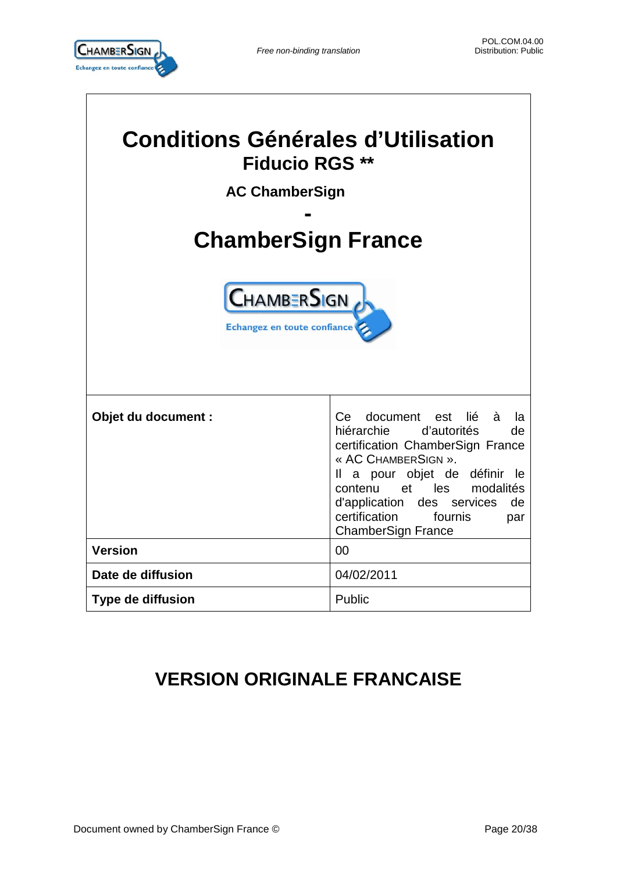

| <b>Conditions Générales d'Utilisation</b><br><b>Fiducio RGS **</b><br><b>AC ChamberSign</b> |                                                                                                                                                                                                                                                                                                       |  |  |  |
|---------------------------------------------------------------------------------------------|-------------------------------------------------------------------------------------------------------------------------------------------------------------------------------------------------------------------------------------------------------------------------------------------------------|--|--|--|
|                                                                                             |                                                                                                                                                                                                                                                                                                       |  |  |  |
| <b>ChamberSign France</b>                                                                   |                                                                                                                                                                                                                                                                                                       |  |  |  |
| <b>CHAMBERSIGN</b><br>Echangez en toute confiance                                           |                                                                                                                                                                                                                                                                                                       |  |  |  |
| Objet du document :                                                                         | Ce document est lié<br>à<br>la<br>hiérarchie d'autorités<br>de<br>certification ChamberSign France<br>« AC CHAMBERSIGN ».<br>a pour objet de définir le<br>Ш<br>et les<br>modalités<br>contenu<br>d'application<br>de<br>des services<br>certification<br>fournis<br>par<br><b>ChamberSign France</b> |  |  |  |
| <b>Version</b>                                                                              | 00                                                                                                                                                                                                                                                                                                    |  |  |  |
| Date de diffusion                                                                           | 04/02/2011                                                                                                                                                                                                                                                                                            |  |  |  |
| <b>Type de diffusion</b>                                                                    | Public                                                                                                                                                                                                                                                                                                |  |  |  |

# **VERSION ORIGINALE FRANCAISE**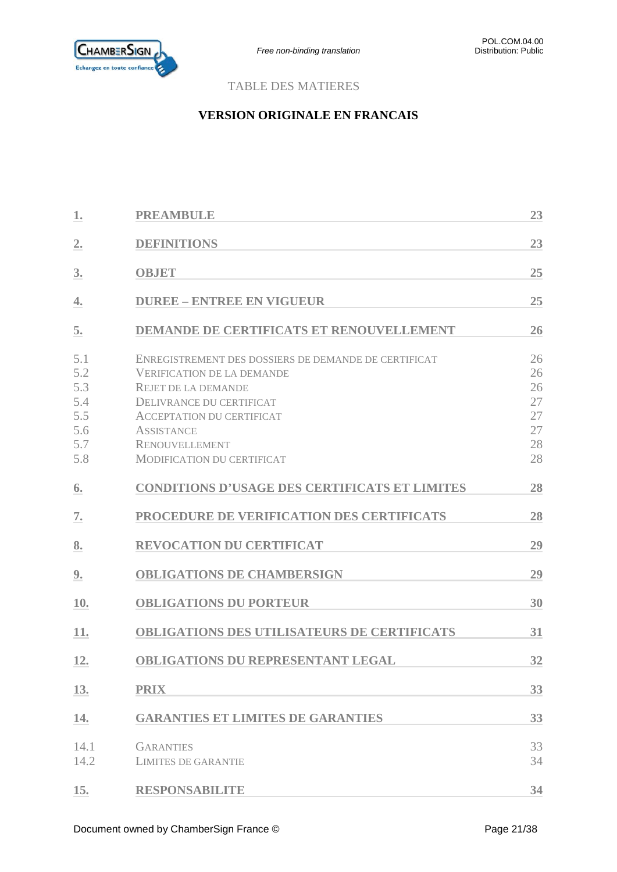

### TABLE DES MATIERES

### **VERSION ORIGINALE EN FRANCAIS**

| 1.                                                   | <b>PREAMBULE</b>                                                                                                                                                                                                                                                                  | 23                                           |
|------------------------------------------------------|-----------------------------------------------------------------------------------------------------------------------------------------------------------------------------------------------------------------------------------------------------------------------------------|----------------------------------------------|
| $\overline{2}$ .                                     | <b>DEFINITIONS</b>                                                                                                                                                                                                                                                                | 23                                           |
| 3.                                                   | <b>OBJET</b>                                                                                                                                                                                                                                                                      | 25                                           |
| 4.                                                   | <b>DUREE - ENTREE EN VIGUEUR</b>                                                                                                                                                                                                                                                  | 25                                           |
| 5.                                                   | <b>DEMANDE DE CERTIFICATS ET RENOUVELLEMENT</b>                                                                                                                                                                                                                                   | 26                                           |
| 5.1<br>5.2<br>5.3<br>5.4<br>5.5<br>5.6<br>5.7<br>5.8 | ENREGISTREMENT DES DOSSIERS DE DEMANDE DE CERTIFICAT<br><b>VERIFICATION DE LA DEMANDE</b><br><b>REJET DE LA DEMANDE</b><br><b>DELIVRANCE DU CERTIFICAT</b><br><b>ACCEPTATION DU CERTIFICAT</b><br><b>ASSISTANCE</b><br><b>RENOUVELLEMENT</b><br><b>MODIFICATION DU CERTIFICAT</b> | 26<br>26<br>26<br>27<br>27<br>27<br>28<br>28 |
| 6.                                                   | <b>CONDITIONS D'USAGE DES CERTIFICATS ET LIMITES</b>                                                                                                                                                                                                                              | 28                                           |
| 7.                                                   | PROCEDURE DE VERIFICATION DES CERTIFICATS                                                                                                                                                                                                                                         | 28                                           |
| 8.                                                   | <b>REVOCATION DU CERTIFICAT</b>                                                                                                                                                                                                                                                   | 29                                           |
| 9.                                                   | <b>OBLIGATIONS DE CHAMBERSIGN</b>                                                                                                                                                                                                                                                 | 29                                           |
| 10.                                                  | <b>OBLIGATIONS DU PORTEUR</b>                                                                                                                                                                                                                                                     | 30                                           |
| 11.                                                  | <b>OBLIGATIONS DES UTILISATEURS DE CERTIFICATS</b>                                                                                                                                                                                                                                | 31                                           |
| 12.                                                  | <b>OBLIGATIONS DU REPRESENTANT LEGAL</b>                                                                                                                                                                                                                                          | 32                                           |
| 13.                                                  | <b>PRIX</b>                                                                                                                                                                                                                                                                       | 33                                           |
| 14.                                                  | <b>GARANTIES ET LIMITES DE GARANTIES</b>                                                                                                                                                                                                                                          | 33                                           |
| 14.1<br>14.2                                         | <b>GARANTIES</b><br><b>LIMITES DE GARANTIE</b>                                                                                                                                                                                                                                    | 33<br>34                                     |
| 15.                                                  | <b>RESPONSABILITE</b>                                                                                                                                                                                                                                                             | 34                                           |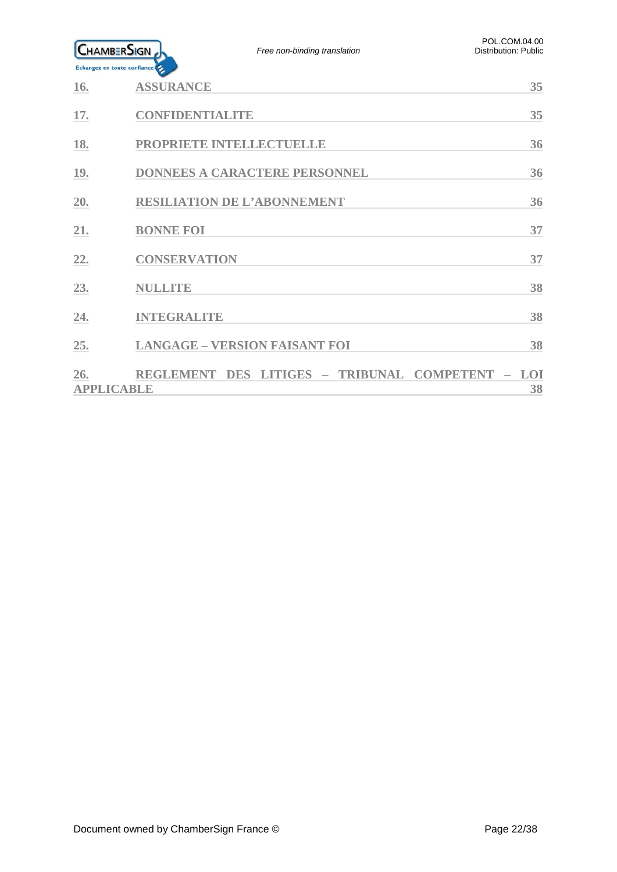

| <b>16.</b>               | <b>ASSURANCE</b>                                 | 35 |
|--------------------------|--------------------------------------------------|----|
| 17.                      | CONFIDENTIALITE                                  | 35 |
| 18.                      | PROPRIETE INTELLECTUELLE                         | 36 |
| <b>19.</b>               | <b>DONNEES A CARACTERE PERSONNEL</b>             | 36 |
| 20.                      | <b>RESILIATION DE L'ABONNEMENT</b>               | 36 |
| 21.                      | <b>BONNE FOI</b>                                 | 37 |
| 22.                      | <b>CONSERVATION</b>                              | 37 |
| 23.                      | <b>NULLITE</b>                                   | 38 |
| 24.                      | <b>INTEGRALITE</b>                               | 38 |
| 25.                      | <b>LANGAGE - VERSION FAISANT FOI</b>             | 38 |
| 26.<br><b>APPLICABLE</b> | REGLEMENT DES LITIGES - TRIBUNAL COMPETENT - LOI | 38 |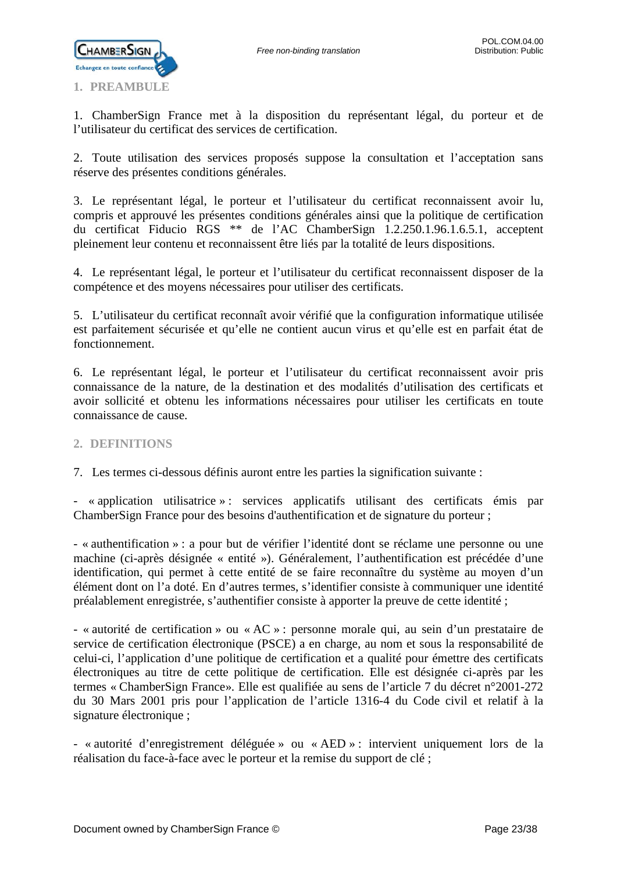

<span id="page-22-0"></span>1. ChamberSign France met à la disposition du représentant légal, du porteur et de l'utilisateur du certificat des services de certification.

2. Toute utilisation des services proposés suppose la consultation et l'acceptation sans réserve des présentes conditions générales.

3. Le représentant légal, le porteur et l'utilisateur du certificat reconnaissent avoir lu, compris et approuvé les présentes conditions générales ainsi que la politique de certification du certificat Fiducio RGS \*\* de l'AC ChamberSign 1.2.250.1.96.1.6.5.1, acceptent pleinement leur contenu et reconnaissent être liés par la totalité de leurs dispositions.

4. Le représentant légal, le porteur et l'utilisateur du certificat reconnaissent disposer de la compétence et des moyens nécessaires pour utiliser des certificats.

5. L'utilisateur du certificat reconnaît avoir vérifié que la configuration informatique utilisée est parfaitement sécurisée et qu'elle ne contient aucun virus et qu'elle est en parfait état de fonctionnement.

6. Le représentant légal, le porteur et l'utilisateur du certificat reconnaissent avoir pris connaissance de la nature, de la destination et des modalités d'utilisation des certificats et avoir sollicité et obtenu les informations nécessaires pour utiliser les certificats en toute connaissance de cause.

### <span id="page-22-1"></span>**2. DEFINITIONS**

7. Les termes ci-dessous définis auront entre les parties la signification suivante :

- « application utilisatrice » : services applicatifs utilisant des certificats émis par ChamberSign France pour des besoins d'authentification et de signature du porteur ;

- « authentification » : a pour but de vérifier l'identité dont se réclame une personne ou une machine (ci-après désignée « entité »). Généralement, l'authentification est précédée d'une identification, qui permet à cette entité de se faire reconnaître du système au moyen d'un élément dont on l'a doté. En d'autres termes, s'identifier consiste à communiquer une identité préalablement enregistrée, s'authentifier consiste à apporter la preuve de cette identité ;

- « autorité de certification » ou « AC » : personne morale qui, au sein d'un prestataire de service de certification électronique (PSCE) a en charge, au nom et sous la responsabilité de celui-ci, l'application d'une politique de certification et a qualité pour émettre des certificats électroniques au titre de cette politique de certification. Elle est désignée ci-après par les termes « ChamberSign France». Elle est qualifiée au sens de l'article 7 du décret n°2001-272 du 30 Mars 2001 pris pour l'application de l'article 1316-4 du Code civil et relatif à la signature électronique ;

- « autorité d'enregistrement déléguée » ou « AED » : intervient uniquement lors de la réalisation du face-à-face avec le porteur et la remise du support de clé ;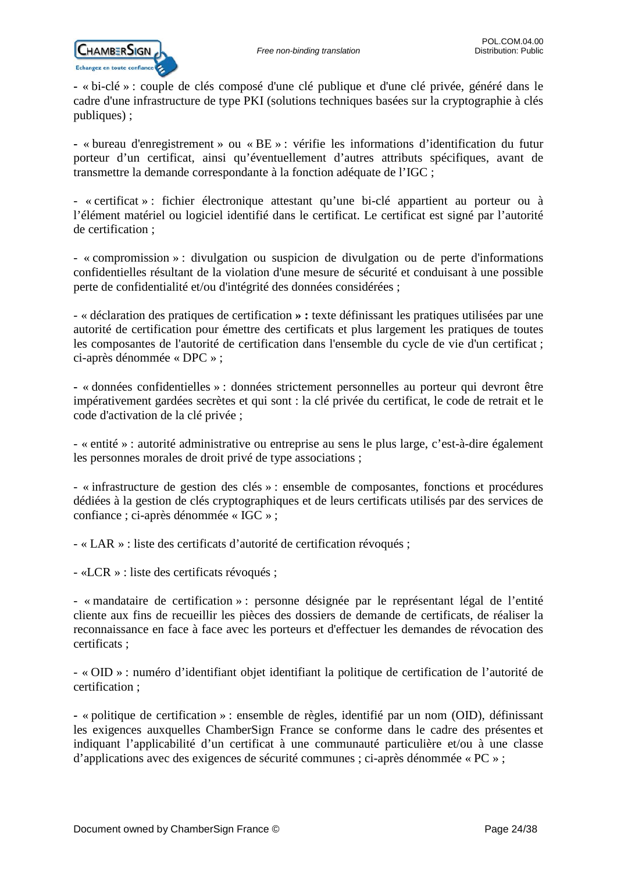

**-** « bi-clé » : couple de clés composé d'une clé publique et d'une clé privée, généré dans le cadre d'une infrastructure de type PKI (solutions techniques basées sur la cryptographie à clés publiques) ;

**-** « bureau d'enregistrement » ou « BE » : vérifie les informations d'identification du futur porteur d'un certificat, ainsi qu'éventuellement d'autres attributs spécifiques, avant de transmettre la demande correspondante à la fonction adéquate de l'IGC ;

- « certificat » : fichier électronique attestant qu'une bi-clé appartient au porteur ou à l'élément matériel ou logiciel identifié dans le certificat. Le certificat est signé par l'autorité de certification ;

- « compromission » : divulgation ou suspicion de divulgation ou de perte d'informations confidentielles résultant de la violation d'une mesure de sécurité et conduisant à une possible perte de confidentialité et/ou d'intégrité des données considérées ;

- « déclaration des pratiques de certification **» :** texte définissant les pratiques utilisées par une autorité de certification pour émettre des certificats et plus largement les pratiques de toutes les composantes de l'autorité de certification dans l'ensemble du cycle de vie d'un certificat ; ci-après dénommée « DPC » ;

**-** « données confidentielles » : données strictement personnelles au porteur qui devront être impérativement gardées secrètes et qui sont : la clé privée du certificat, le code de retrait et le code d'activation de la clé privée ;

- « entité » : autorité administrative ou entreprise au sens le plus large, c'est-à-dire également les personnes morales de droit privé de type associations ;

- « infrastructure de gestion des clés » : ensemble de composantes, fonctions et procédures dédiées à la gestion de clés cryptographiques et de leurs certificats utilisés par des services de confiance ; ci-après dénommée « IGC » ;

- « LAR » : liste des certificats d'autorité de certification révoqués ;

- «LCR » : liste des certificats révoqués ;

- « mandataire de certification » : personne désignée par le représentant légal de l'entité cliente aux fins de recueillir les pièces des dossiers de demande de certificats, de réaliser la reconnaissance en face à face avec les porteurs et d'effectuer les demandes de révocation des certificats ;

- « OID » : numéro d'identifiant objet identifiant la politique de certification de l'autorité de certification ;

**-** « politique de certification » : ensemble de règles, identifié par un nom (OID), définissant les exigences auxquelles ChamberSign France se conforme dans le cadre des présentes et indiquant l'applicabilité d'un certificat à une communauté particulière et/ou à une classe d'applications avec des exigences de sécurité communes ; ci-après dénommée « PC » ;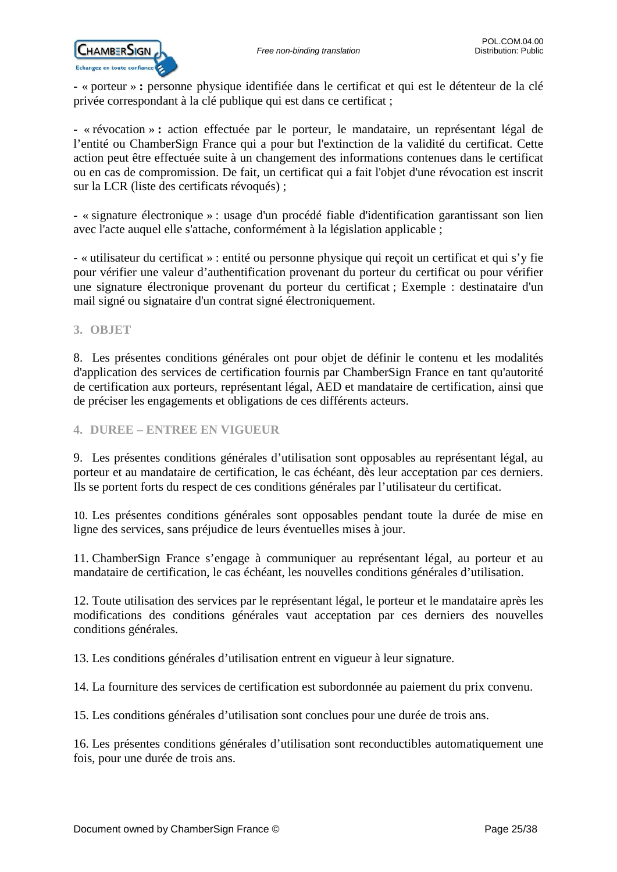**-** « porteur » **:** personne physique identifiée dans le certificat et qui est le détenteur de la clé privée correspondant à la clé publique qui est dans ce certificat ;

**-** « révocation » **:** action effectuée par le porteur, le mandataire, un représentant légal de l'entité ou ChamberSign France qui a pour but l'extinction de la validité du certificat. Cette action peut être effectuée suite à un changement des informations contenues dans le certificat ou en cas de compromission. De fait, un certificat qui a fait l'objet d'une révocation est inscrit sur la LCR (liste des certificats révoqués) ;

**-** « signature électronique » : usage d'un procédé fiable d'identification garantissant son lien avec l'acte auquel elle s'attache, conformément à la législation applicable ;

- « utilisateur du certificat » : entité ou personne physique qui reçoit un certificat et qui s'y fie pour vérifier une valeur d'authentification provenant du porteur du certificat ou pour vérifier une signature électronique provenant du porteur du certificat ; Exemple : destinataire d'un mail signé ou signataire d'un contrat signé électroniquement.

### <span id="page-24-0"></span>**3. OBJET**

8. Les présentes conditions générales ont pour objet de définir le contenu et les modalités d'application des services de certification fournis par ChamberSign France en tant qu'autorité de certification aux porteurs, représentant légal, AED et mandataire de certification, ainsi que de préciser les engagements et obligations de ces différents acteurs.

### <span id="page-24-1"></span>**4. DUREE – ENTREE EN VIGUEUR**

9. Les présentes conditions générales d'utilisation sont opposables au représentant légal, au porteur et au mandataire de certification, le cas échéant, dès leur acceptation par ces derniers. Ils se portent forts du respect de ces conditions générales par l'utilisateur du certificat.

10. Les présentes conditions générales sont opposables pendant toute la durée de mise en ligne des services, sans préjudice de leurs éventuelles mises à jour.

11. ChamberSign France s'engage à communiquer au représentant légal, au porteur et au mandataire de certification, le cas échéant, les nouvelles conditions générales d'utilisation.

12. Toute utilisation des services par le représentant légal, le porteur et le mandataire après les modifications des conditions générales vaut acceptation par ces derniers des nouvelles conditions générales.

13. Les conditions générales d'utilisation entrent en vigueur à leur signature.

14. La fourniture des services de certification est subordonnée au paiement du prix convenu.

15. Les conditions générales d'utilisation sont conclues pour une durée de trois ans.

16. Les présentes conditions générales d'utilisation sont reconductibles automatiquement une fois, pour une durée de trois ans.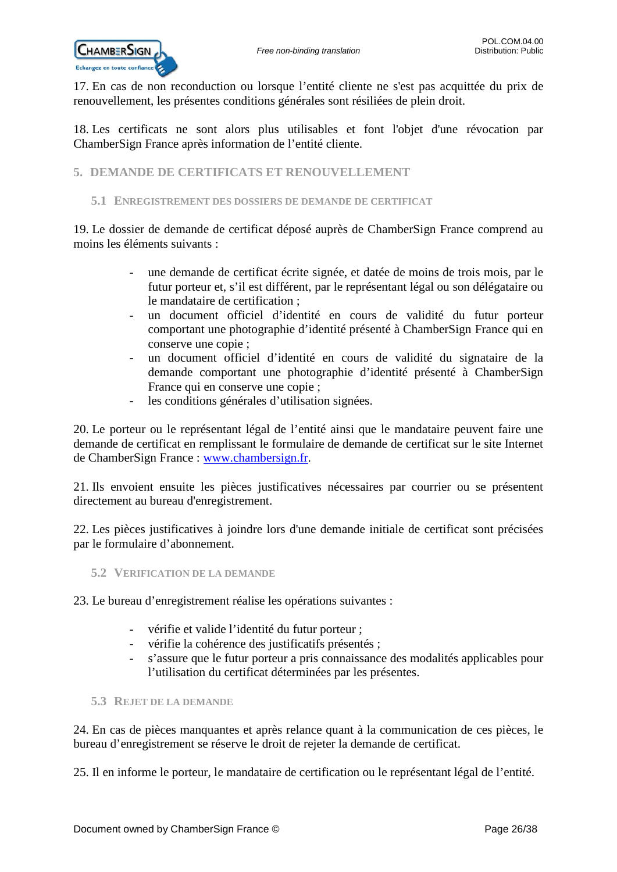

17. En cas de non reconduction ou lorsque l'entité cliente ne s'est pas acquittée du prix de renouvellement, les présentes conditions générales sont résiliées de plein droit.

18. Les certificats ne sont alors plus utilisables et font l'objet d'une révocation par ChamberSign France après information de l'entité cliente.

### <span id="page-25-0"></span>**5. DEMANDE DE CERTIFICATS ET RENOUVELLEMENT**

### <span id="page-25-1"></span>**5.1 ENREGISTREMENT DES DOSSIERS DE DEMANDE DE CERTIFICAT**

19. Le dossier de demande de certificat déposé auprès de ChamberSign France comprend au moins les éléments suivants :

- une demande de certificat écrite signée, et datée de moins de trois mois, par le futur porteur et, s'il est différent, par le représentant légal ou son délégataire ou le mandataire de certification ;
- un document officiel d'identité en cours de validité du futur porteur comportant une photographie d'identité présenté à ChamberSign France qui en conserve une copie ;
- un document officiel d'identité en cours de validité du signataire de la demande comportant une photographie d'identité présenté à ChamberSign France qui en conserve une copie ;
- les conditions générales d'utilisation signées.

20. Le porteur ou le représentant légal de l'entité ainsi que le mandataire peuvent faire une demande de certificat en remplissant le formulaire de demande de certificat sur le site Internet de ChamberSign France : [www.chambersign.fr.](http://www.chambersign.fr/)

21. Ils envoient ensuite les pièces justificatives nécessaires par courrier ou se présentent directement au bureau d'enregistrement.

22. Les pièces justificatives à joindre lors d'une demande initiale de certificat sont précisées par le formulaire d'abonnement.

<span id="page-25-2"></span>**5.2 VERIFICATION DE LA DEMANDE**

23. Le bureau d'enregistrement réalise les opérations suivantes :

- vérifie et valide l'identité du futur porteur ;
- vérifie la cohérence des justificatifs présentés ;
- s'assure que le futur porteur a pris connaissance des modalités applicables pour l'utilisation du certificat déterminées par les présentes.
- <span id="page-25-3"></span>**5.3 REJET DE LA DEMANDE**

24. En cas de pièces manquantes et après relance quant à la communication de ces pièces, le bureau d'enregistrement se réserve le droit de rejeter la demande de certificat.

25. Il en informe le porteur, le mandataire de certification ou le représentant légal de l'entité.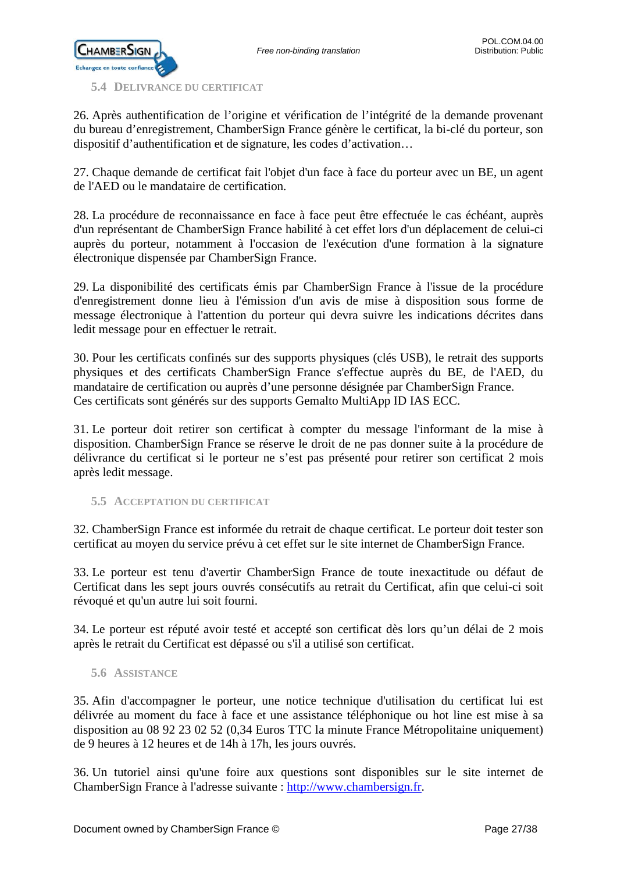

<span id="page-26-0"></span>**5.4 DELIVRANCE DU CERTIFICAT**

26. Après authentification de l'origine et vérification de l'intégrité de la demande provenant du bureau d'enregistrement, ChamberSign France génère le certificat, la bi-clé du porteur, son dispositif d'authentification et de signature, les codes d'activation…

27. Chaque demande de certificat fait l'objet d'un face à face du porteur avec un BE, un agent de l'AED ou le mandataire de certification.

28. La procédure de reconnaissance en face à face peut être effectuée le cas échéant, auprès d'un représentant de ChamberSign France habilité à cet effet lors d'un déplacement de celui-ci auprès du porteur, notamment à l'occasion de l'exécution d'une formation à la signature électronique dispensée par ChamberSign France.

29. La disponibilité des certificats émis par ChamberSign France à l'issue de la procédure d'enregistrement donne lieu à l'émission d'un avis de mise à disposition sous forme de message électronique à l'attention du porteur qui devra suivre les indications décrites dans ledit message pour en effectuer le retrait.

30. Pour les certificats confinés sur des supports physiques (clés USB), le retrait des supports physiques et des certificats ChamberSign France s'effectue auprès du BE, de l'AED, du mandataire de certification ou auprès d'une personne désignée par ChamberSign France. Ces certificats sont générés sur des supports Gemalto MultiApp ID IAS ECC.

31. Le porteur doit retirer son certificat à compter du message l'informant de la mise à disposition. ChamberSign France se réserve le droit de ne pas donner suite à la procédure de délivrance du certificat si le porteur ne s'est pas présenté pour retirer son certificat 2 mois après ledit message.

<span id="page-26-1"></span>**5.5 ACCEPTATION DU CERTIFICAT**

32. ChamberSign France est informée du retrait de chaque certificat. Le porteur doit tester son certificat au moyen du service prévu à cet effet sur le site internet de ChamberSign France.

33. Le porteur est tenu d'avertir ChamberSign France de toute inexactitude ou défaut de Certificat dans les sept jours ouvrés consécutifs au retrait du Certificat, afin que celui-ci soit révoqué et qu'un autre lui soit fourni.

34. Le porteur est réputé avoir testé et accepté son certificat dès lors qu'un délai de 2 mois après le retrait du Certificat est dépassé ou s'il a utilisé son certificat.

### <span id="page-26-2"></span>**5.6 ASSISTANCE**

35. Afin d'accompagner le porteur, une notice technique d'utilisation du certificat lui est délivrée au moment du face à face et une assistance téléphonique ou hot line est mise à sa disposition au 08 92 23 02 52 (0,34 Euros TTC la minute France Métropolitaine uniquement) de 9 heures à 12 heures et de 14h à 17h, les jours ouvrés.

36. Un tutoriel ainsi qu'une foire aux questions sont disponibles sur le site internet de ChamberSign France à l'adresse suivante : [http://www.chambersign.fr.](http://www.chambersign.fr/)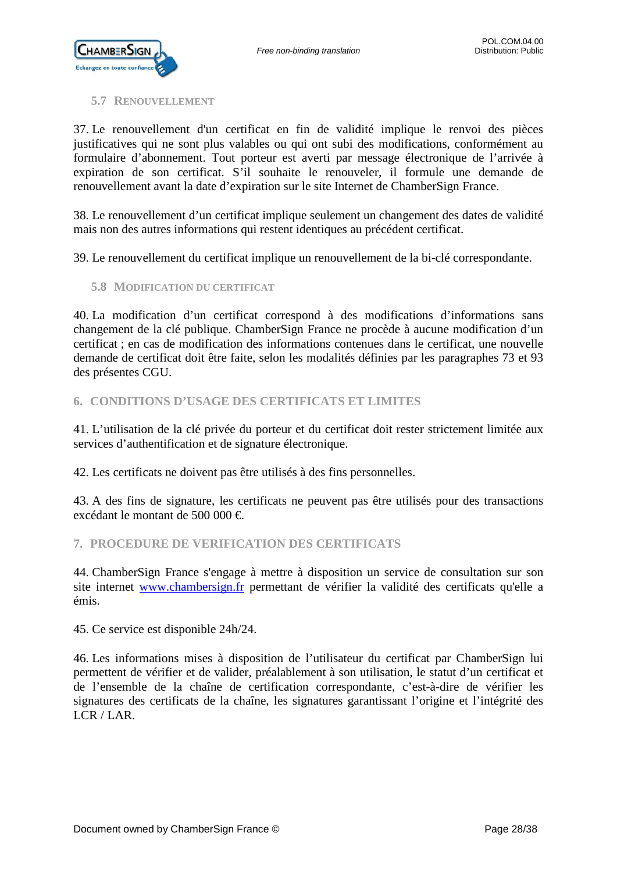

### <span id="page-27-0"></span>**5.7 RENOUVELLEMENT**

37. Le renouvellement d'un certificat en fin de validité implique le renvoi des pièces justificatives qui ne sont plus valables ou qui ont subi des modifications, conformément au formulaire d'abonnement. Tout porteur est averti par message électronique de l'arrivée à expiration de son certificat. S'il souhaite le renouveler, il formule une demande de renouvellement avant la date d'expiration sur le site Internet de ChamberSign France.

38. Le renouvellement d'un certificat implique seulement un changement des dates de validité mais non des autres informations qui restent identiques au précédent certificat.

39. Le renouvellement du certificat implique un renouvellement de la bi-clé correspondante.

### <span id="page-27-1"></span>**5.8 MODIFICATION DU CERTIFICAT**

40. La modification d'un certificat correspond à des modifications d'informations sans changement de la clé publique. ChamberSign France ne procède à aucune modification d'un certificat ; en cas de modification des informations contenues dans le certificat, une nouvelle demande de certificat doit être faite, selon les modalités définies par les paragraphes 73 et 93 des présentes CGU.

### <span id="page-27-2"></span>**6. CONDITIONS D'USAGE DES CERTIFICATS ET LIMITES**

41. L'utilisation de la clé privée du porteur et du certificat doit rester strictement limitée aux services d'authentification et de signature électronique.

42. Les certificats ne doivent pas être utilisés à des fins personnelles.

43. A des fins de signature, les certificats ne peuvent pas être utilisés pour des transactions excédant le montant de 500 000 €.

### <span id="page-27-3"></span>**7. PROCEDURE DE VERIFICATION DES CERTIFICATS**

44. ChamberSign France s'engage à mettre à disposition un service de consultation sur son site internet [www.chambersign.fr](http://www.chambersign.fr/) permettant de vérifier la validité des certificats qu'elle a émis.

45. Ce service est disponible 24h/24.

46. Les informations mises à disposition de l'utilisateur du certificat par ChamberSign lui permettent de vérifier et de valider, préalablement à son utilisation, le statut d'un certificat et de l'ensemble de la chaîne de certification correspondante, c'est-à-dire de vérifier les signatures des certificats de la chaîne, les signatures garantissant l'origine et l'intégrité des LCR / LAR.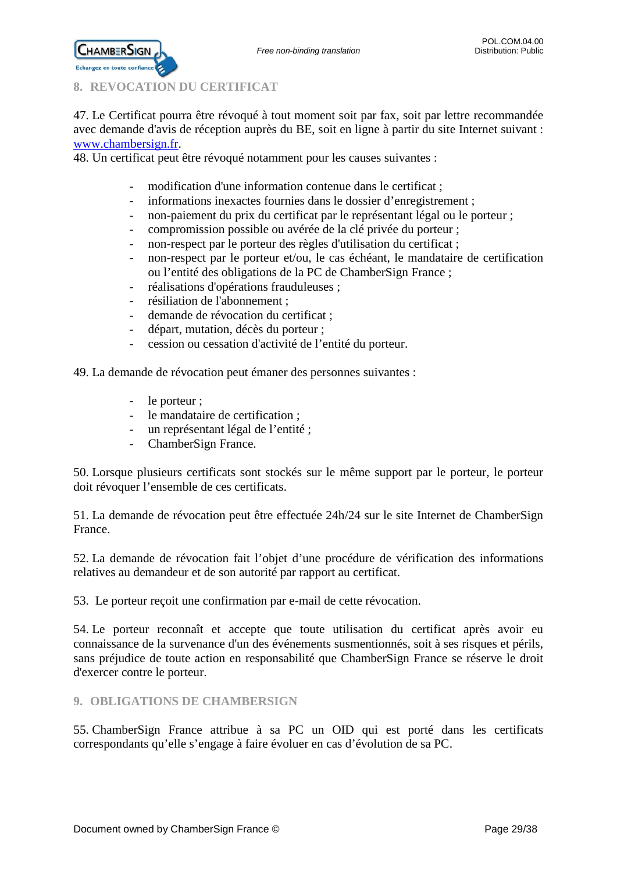<span id="page-28-0"></span>

**CHAMBERSIGN** 

47. Le Certificat pourra être révoqué à tout moment soit par fax, soit par lettre recommandée avec demande d'avis de réception auprès du BE, soit en ligne à partir du site Internet suivant : [www.chambersign.fr.](http://www.chambersign.fr/)

48. Un certificat peut être révoqué notamment pour les causes suivantes :

- modification d'une information contenue dans le certificat ;
- informations inexactes fournies dans le dossier d'enregistrement ;
- non-paiement du prix du certificat par le représentant légal ou le porteur ;
- compromission possible ou avérée de la clé privée du porteur ;
- non-respect par le porteur des règles d'utilisation du certificat ;
- non-respect par le porteur et/ou, le cas échéant, le mandataire de certification ou l'entité des obligations de la PC de ChamberSign France ;
- réalisations d'opérations frauduleuses ;
- résiliation de l'abonnement ;
- demande de révocation du certificat ;
- départ, mutation, décès du porteur ;
- cession ou cessation d'activité de l'entité du porteur.

49. La demande de révocation peut émaner des personnes suivantes :

- le porteur ;
- le mandataire de certification ;
- un représentant légal de l'entité ;
- ChamberSign France.

50. Lorsque plusieurs certificats sont stockés sur le même support par le porteur, le porteur doit révoquer l'ensemble de ces certificats.

51. La demande de révocation peut être effectuée 24h/24 sur le site Internet de ChamberSign France.

52. La demande de révocation fait l'objet d'une procédure de vérification des informations relatives au demandeur et de son autorité par rapport au certificat.

53. Le porteur reçoit une confirmation par e-mail de cette révocation.

54. Le porteur reconnaît et accepte que toute utilisation du certificat après avoir eu connaissance de la survenance d'un des événements susmentionnés, soit à ses risques et périls, sans préjudice de toute action en responsabilité que ChamberSign France se réserve le droit d'exercer contre le porteur.

<span id="page-28-1"></span>**9. OBLIGATIONS DE CHAMBERSIGN**

55. ChamberSign France attribue à sa PC un OID qui est porté dans les certificats correspondants qu'elle s'engage à faire évoluer en cas d'évolution de sa PC.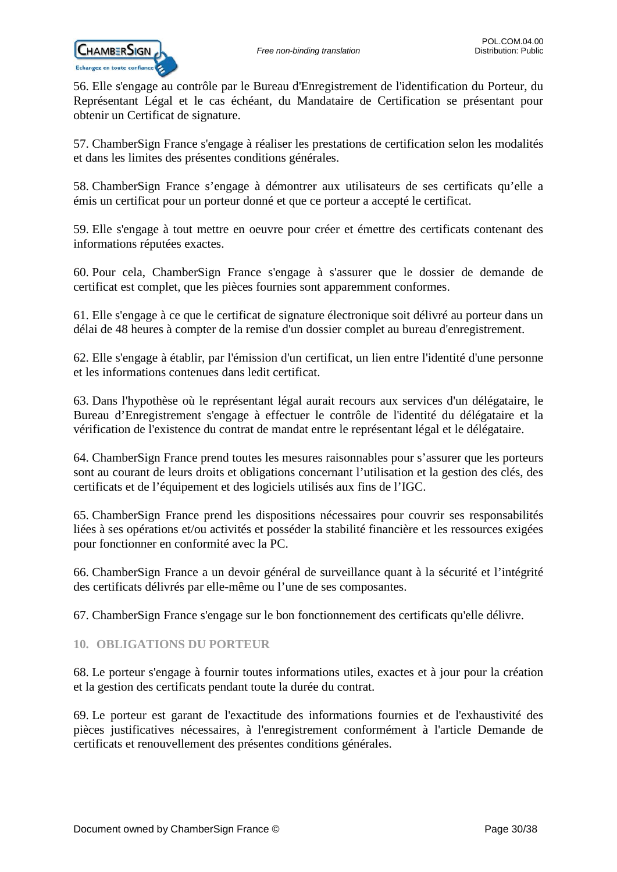

56. Elle s'engage au contrôle par le Bureau d'Enregistrement de l'identification du Porteur, du Représentant Légal et le cas échéant, du Mandataire de Certification se présentant pour obtenir un Certificat de signature.

57. ChamberSign France s'engage à réaliser les prestations de certification selon les modalités et dans les limites des présentes conditions générales.

58. ChamberSign France s'engage à démontrer aux utilisateurs de ses certificats qu'elle a émis un certificat pour un porteur donné et que ce porteur a accepté le certificat.

59. Elle s'engage à tout mettre en oeuvre pour créer et émettre des certificats contenant des informations réputées exactes.

60. Pour cela, ChamberSign France s'engage à s'assurer que le dossier de demande de certificat est complet, que les pièces fournies sont apparemment conformes.

61. Elle s'engage à ce que le certificat de signature électronique soit délivré au porteur dans un délai de 48 heures à compter de la remise d'un dossier complet au bureau d'enregistrement.

62. Elle s'engage à établir, par l'émission d'un certificat, un lien entre l'identité d'une personne et les informations contenues dans ledit certificat.

63. Dans l'hypothèse où le représentant légal aurait recours aux services d'un délégataire, le Bureau d'Enregistrement s'engage à effectuer le contrôle de l'identité du délégataire et la vérification de l'existence du contrat de mandat entre le représentant légal et le délégataire.

64. ChamberSign France prend toutes les mesures raisonnables pour s'assurer que les porteurs sont au courant de leurs droits et obligations concernant l'utilisation et la gestion des clés, des certificats et de l'équipement et des logiciels utilisés aux fins de l'IGC.

65. ChamberSign France prend les dispositions nécessaires pour couvrir ses responsabilités liées à ses opérations et/ou activités et posséder la stabilité financière et les ressources exigées pour fonctionner en conformité avec la PC.

66. ChamberSign France a un devoir général de surveillance quant à la sécurité et l'intégrité des certificats délivrés par elle-même ou l'une de ses composantes.

67. ChamberSign France s'engage sur le bon fonctionnement des certificats qu'elle délivre.

### <span id="page-29-0"></span>**10. OBLIGATIONS DU PORTEUR**

68. Le porteur s'engage à fournir toutes informations utiles, exactes et à jour pour la création et la gestion des certificats pendant toute la durée du contrat.

69. Le porteur est garant de l'exactitude des informations fournies et de l'exhaustivité des pièces justificatives nécessaires, à l'enregistrement conformément à l'article Demande de certificats et renouvellement des présentes conditions générales.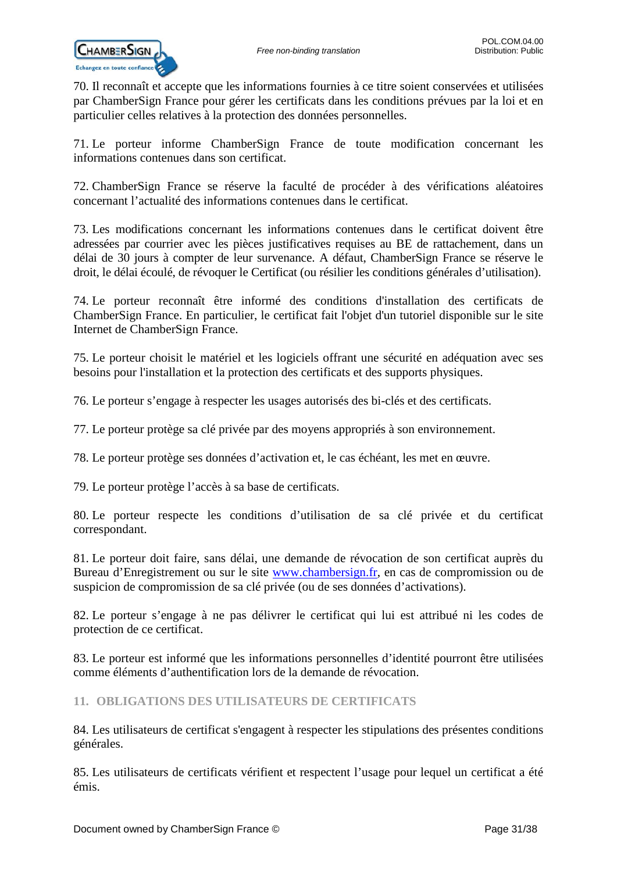

70. Il reconnaît et accepte que les informations fournies à ce titre soient conservées et utilisées par ChamberSign France pour gérer les certificats dans les conditions prévues par la loi et en particulier celles relatives à la protection des données personnelles.

71. Le porteur informe ChamberSign France de toute modification concernant les informations contenues dans son certificat.

72. ChamberSign France se réserve la faculté de procéder à des vérifications aléatoires concernant l'actualité des informations contenues dans le certificat.

73. Les modifications concernant les informations contenues dans le certificat doivent être adressées par courrier avec les pièces justificatives requises au BE de rattachement, dans un délai de 30 jours à compter de leur survenance. A défaut, ChamberSign France se réserve le droit, le délai écoulé, de révoquer le Certificat (ou résilier les conditions générales d'utilisation).

74. Le porteur reconnaît être informé des conditions d'installation des certificats de ChamberSign France. En particulier, le certificat fait l'objet d'un tutoriel disponible sur le site Internet de ChamberSign France.

75. Le porteur choisit le matériel et les logiciels offrant une sécurité en adéquation avec ses besoins pour l'installation et la protection des certificats et des supports physiques.

76. Le porteur s'engage à respecter les usages autorisés des bi-clés et des certificats.

77. Le porteur protège sa clé privée par des moyens appropriés à son environnement.

78. Le porteur protège ses données d'activation et, le cas échéant, les met en œuvre.

79. Le porteur protège l'accès à sa base de certificats.

80. Le porteur respecte les conditions d'utilisation de sa clé privée et du certificat correspondant.

81. Le porteur doit faire, sans délai, une demande de révocation de son certificat auprès du Bureau d'Enregistrement ou sur le site [www.chambersign.fr,](http://www.chambersign.fr/) en cas de compromission ou de suspicion de compromission de sa clé privée (ou de ses données d'activations).

82. Le porteur s'engage à ne pas délivrer le certificat qui lui est attribué ni les codes de protection de ce certificat.

83. Le porteur est informé que les informations personnelles d'identité pourront être utilisées comme éléments d'authentification lors de la demande de révocation.

<span id="page-30-0"></span>**11. OBLIGATIONS DES UTILISATEURS DE CERTIFICATS**

84. Les utilisateurs de certificat s'engagent à respecter les stipulations des présentes conditions générales.

85. Les utilisateurs de certificats vérifient et respectent l'usage pour lequel un certificat a été émis.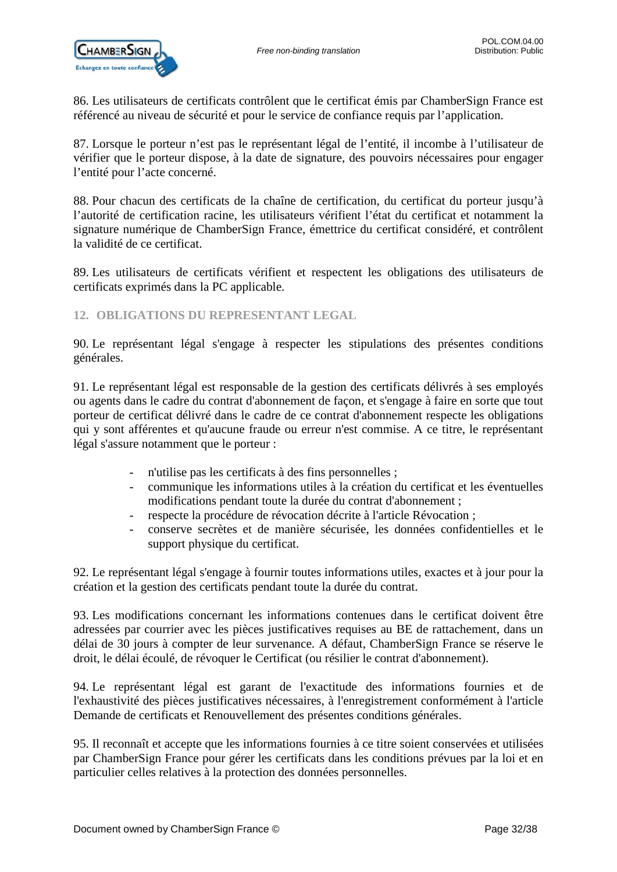86. Les utilisateurs de certificats contrôlent que le certificat émis par ChamberSign France est référencé au niveau de sécurité et pour le service de confiance requis par l'application.

87. Lorsque le porteur n'est pas le représentant légal de l'entité, il incombe à l'utilisateur de vérifier que le porteur dispose, à la date de signature, des pouvoirs nécessaires pour engager l'entité pour l'acte concerné.

88. Pour chacun des certificats de la chaîne de certification, du certificat du porteur jusqu'à l'autorité de certification racine, les utilisateurs vérifient l'état du certificat et notamment la signature numérique de ChamberSign France, émettrice du certificat considéré, et contrôlent la validité de ce certificat.

89. Les utilisateurs de certificats vérifient et respectent les obligations des utilisateurs de certificats exprimés dans la PC applicable.

<span id="page-31-0"></span>**12. OBLIGATIONS DU REPRESENTANT LEGAL**

90. Le représentant légal s'engage à respecter les stipulations des présentes conditions générales.

91. Le représentant légal est responsable de la gestion des certificats délivrés à ses employés ou agents dans le cadre du contrat d'abonnement de façon, et s'engage à faire en sorte que tout porteur de certificat délivré dans le cadre de ce contrat d'abonnement respecte les obligations qui y sont afférentes et qu'aucune fraude ou erreur n'est commise. A ce titre, le représentant légal s'assure notamment que le porteur :

- n'utilise pas les certificats à des fins personnelles ;
- communique les informations utiles à la création du certificat et les éventuelles modifications pendant toute la durée du contrat d'abonnement ;
- respecte la procédure de révocation décrite à l'article Révocation ;
- conserve secrètes et de manière sécurisée, les données confidentielles et le support physique du certificat.

92. Le représentant légal s'engage à fournir toutes informations utiles, exactes et à jour pour la création et la gestion des certificats pendant toute la durée du contrat.

93. Les modifications concernant les informations contenues dans le certificat doivent être adressées par courrier avec les pièces justificatives requises au BE de rattachement, dans un délai de 30 jours à compter de leur survenance. A défaut, ChamberSign France se réserve le droit, le délai écoulé, de révoquer le Certificat (ou résilier le contrat d'abonnement).

94. Le représentant légal est garant de l'exactitude des informations fournies et de l'exhaustivité des pièces justificatives nécessaires, à l'enregistrement conformément à l'article Demande de certificats et Renouvellement des présentes conditions générales.

95. Il reconnaît et accepte que les informations fournies à ce titre soient conservées et utilisées par ChamberSign France pour gérer les certificats dans les conditions prévues par la loi et en particulier celles relatives à la protection des données personnelles.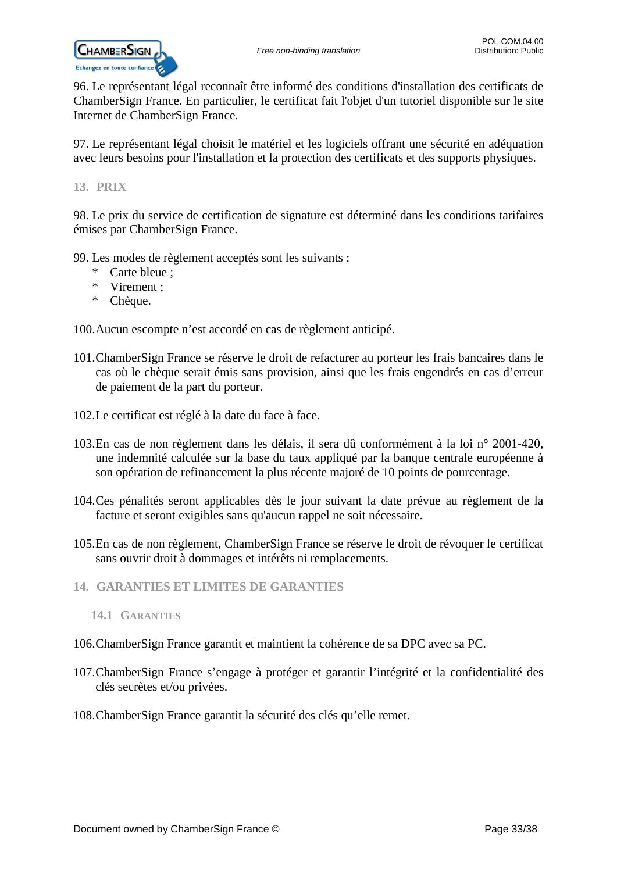96. Le représentant légal reconnaît être informé des conditions d'installation des certificats de ChamberSign France. En particulier, le certificat fait l'objet d'un tutoriel disponible sur le site Internet de ChamberSign France.

97. Le représentant légal choisit le matériel et les logiciels offrant une sécurité en adéquation avec leurs besoins pour l'installation et la protection des certificats et des supports physiques.

<span id="page-32-0"></span>**13. PRIX**

98. Le prix du service de certification de signature est déterminé dans les conditions tarifaires émises par ChamberSign France.

99. Les modes de règlement acceptés sont les suivants :

- \* Carte bleue ;
- \* Virement ;
- \* Chèque.

100.Aucun escompte n'est accordé en cas de règlement anticipé.

- 101.ChamberSign France se réserve le droit de refacturer au porteur les frais bancaires dans le cas où le chèque serait émis sans provision, ainsi que les frais engendrés en cas d'erreur de paiement de la part du porteur.
- 102.Le certificat est réglé à la date du face à face.
- 103.En cas de non règlement dans les délais, il sera dû conformément à la loi n° 2001-420, une indemnité calculée sur la base du taux appliqué par la banque centrale européenne à son opération de refinancement la plus récente majoré de 10 points de pourcentage.
- 104.Ces pénalités seront applicables dès le jour suivant la date prévue au règlement de la facture et seront exigibles sans qu'aucun rappel ne soit nécessaire.
- 105.En cas de non règlement, ChamberSign France se réserve le droit de révoquer le certificat sans ouvrir droit à dommages et intérêts ni remplacements.
- <span id="page-32-2"></span><span id="page-32-1"></span>**14. GARANTIES ET LIMITES DE GARANTIES**
	- **14.1 GARANTIES**

### 106.ChamberSign France garantit et maintient la cohérence de sa DPC avec sa PC.

- 107.ChamberSign France s'engage à protéger et garantir l'intégrité et la confidentialité des clés secrètes et/ou privées.
- 108.ChamberSign France garantit la sécurité des clés qu'elle remet.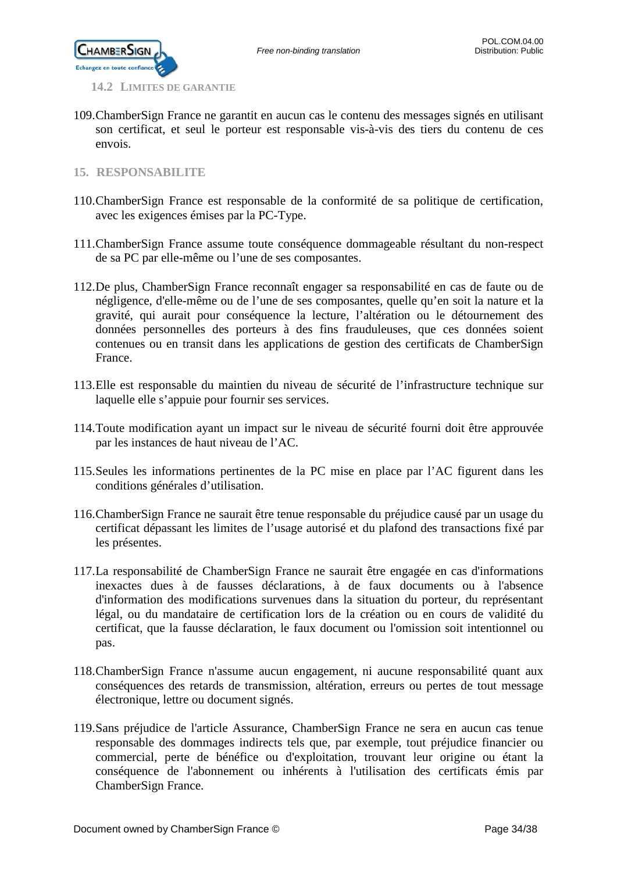

<span id="page-33-0"></span>**14.2 LIMITES DE GARANTIE**

- 109.ChamberSign France ne garantit en aucun cas le contenu des messages signés en utilisant son certificat, et seul le porteur est responsable vis-à-vis des tiers du contenu de ces envois.
- <span id="page-33-1"></span>**15. RESPONSABILITE**
- 110.ChamberSign France est responsable de la conformité de sa politique de certification, avec les exigences émises par la PC-Type.
- 111.ChamberSign France assume toute conséquence dommageable résultant du non-respect de sa PC par elle-même ou l'une de ses composantes.
- 112.De plus, ChamberSign France reconnaît engager sa responsabilité en cas de faute ou de négligence, d'elle-même ou de l'une de ses composantes, quelle qu'en soit la nature et la gravité, qui aurait pour conséquence la lecture, l'altération ou le détournement des données personnelles des porteurs à des fins frauduleuses, que ces données soient contenues ou en transit dans les applications de gestion des certificats de ChamberSign France.
- 113.Elle est responsable du maintien du niveau de sécurité de l'infrastructure technique sur laquelle elle s'appuie pour fournir ses services.
- 114.Toute modification ayant un impact sur le niveau de sécurité fourni doit être approuvée par les instances de haut niveau de l'AC.
- 115.Seules les informations pertinentes de la PC mise en place par l'AC figurent dans les conditions générales d'utilisation.
- 116.ChamberSign France ne saurait être tenue responsable du préjudice causé par un usage du certificat dépassant les limites de l'usage autorisé et du plafond des transactions fixé par les présentes.
- 117.La responsabilité de ChamberSign France ne saurait être engagée en cas d'informations inexactes dues à de fausses déclarations, à de faux documents ou à l'absence d'information des modifications survenues dans la situation du porteur, du représentant légal, ou du mandataire de certification lors de la création ou en cours de validité du certificat, que la fausse déclaration, le faux document ou l'omission soit intentionnel ou pas.
- 118.ChamberSign France n'assume aucun engagement, ni aucune responsabilité quant aux conséquences des retards de transmission, altération, erreurs ou pertes de tout message électronique, lettre ou document signés.
- 119.Sans préjudice de l'article Assurance, ChamberSign France ne sera en aucun cas tenue responsable des dommages indirects tels que, par exemple, tout préjudice financier ou commercial, perte de bénéfice ou d'exploitation, trouvant leur origine ou étant la conséquence de l'abonnement ou inhérents à l'utilisation des certificats émis par ChamberSign France.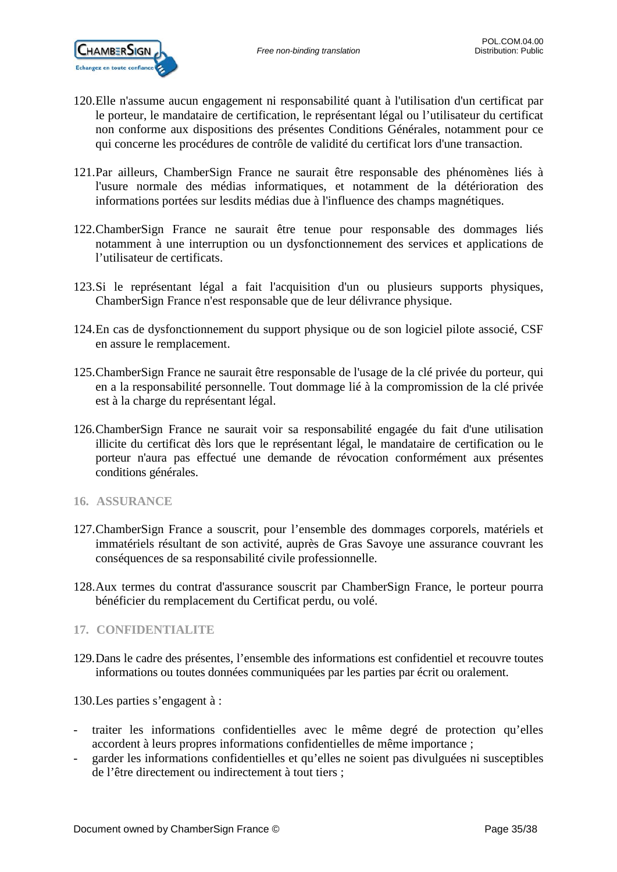

- 120.Elle n'assume aucun engagement ni responsabilité quant à l'utilisation d'un certificat par le porteur, le mandataire de certification, le représentant légal ou l'utilisateur du certificat non conforme aux dispositions des présentes Conditions Générales, notamment pour ce qui concerne les procédures de contrôle de validité du certificat lors d'une transaction.
- 121.Par ailleurs, ChamberSign France ne saurait être responsable des phénomènes liés à l'usure normale des médias informatiques, et notamment de la détérioration des informations portées sur lesdits médias due à l'influence des champs magnétiques.
- 122.ChamberSign France ne saurait être tenue pour responsable des dommages liés notamment à une interruption ou un dysfonctionnement des services et applications de l'utilisateur de certificats.
- 123.Si le représentant légal a fait l'acquisition d'un ou plusieurs supports physiques, ChamberSign France n'est responsable que de leur délivrance physique.
- 124.En cas de dysfonctionnement du support physique ou de son logiciel pilote associé, CSF en assure le remplacement.
- 125.ChamberSign France ne saurait être responsable de l'usage de la clé privée du porteur, qui en a la responsabilité personnelle. Tout dommage lié à la compromission de la clé privée est à la charge du représentant légal.
- 126.ChamberSign France ne saurait voir sa responsabilité engagée du fait d'une utilisation illicite du certificat dès lors que le représentant légal, le mandataire de certification ou le porteur n'aura pas effectué une demande de révocation conformément aux présentes conditions générales.
- <span id="page-34-0"></span>**16. ASSURANCE**
- 127.ChamberSign France a souscrit, pour l'ensemble des dommages corporels, matériels et immatériels résultant de son activité, auprès de Gras Savoye une assurance couvrant les conséquences de sa responsabilité civile professionnelle.
- 128.Aux termes du contrat d'assurance souscrit par ChamberSign France, le porteur pourra bénéficier du remplacement du Certificat perdu, ou volé.

### <span id="page-34-1"></span>**17. CONFIDENTIALITE**

129.Dans le cadre des présentes, l'ensemble des informations est confidentiel et recouvre toutes informations ou toutes données communiquées par les parties par écrit ou oralement.

130.Les parties s'engagent à :

- traiter les informations confidentielles avec le même degré de protection qu'elles accordent à leurs propres informations confidentielles de même importance ;
- garder les informations confidentielles et qu'elles ne soient pas divulguées ni susceptibles de l'être directement ou indirectement à tout tiers ;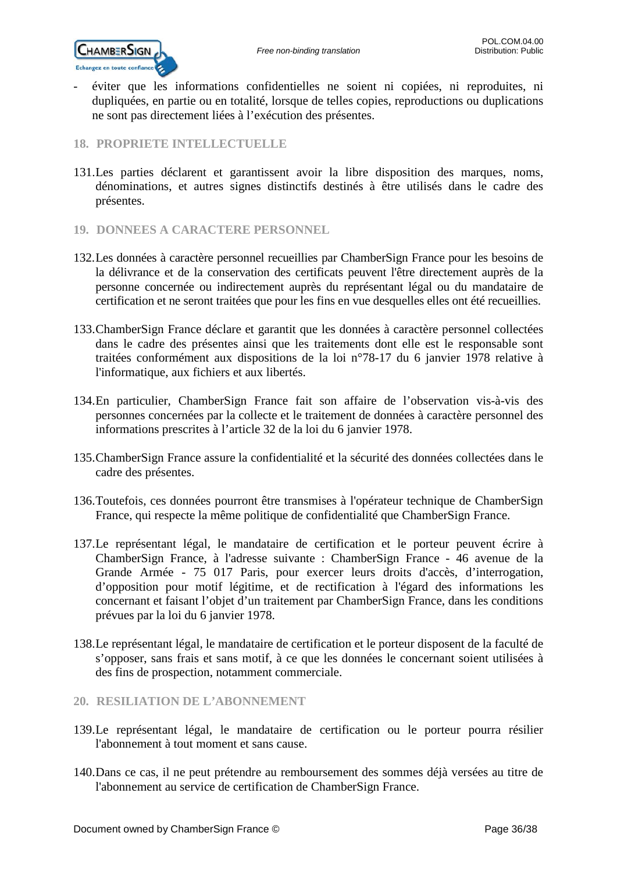

- éviter que les informations confidentielles ne soient ni copiées, ni reproduites, ni dupliquées, en partie ou en totalité, lorsque de telles copies, reproductions ou duplications ne sont pas directement liées à l'exécution des présentes.

### <span id="page-35-0"></span>**18. PROPRIETE INTELLECTUELLE**

- 131.Les parties déclarent et garantissent avoir la libre disposition des marques, noms, dénominations, et autres signes distinctifs destinés à être utilisés dans le cadre des présentes.
- <span id="page-35-1"></span>**19. DONNEES A CARACTERE PERSONNEL**
- 132.Les données à caractère personnel recueillies par ChamberSign France pour les besoins de la délivrance et de la conservation des certificats peuvent l'être directement auprès de la personne concernée ou indirectement auprès du représentant légal ou du mandataire de certification et ne seront traitées que pour les fins en vue desquelles elles ont été recueillies.
- 133.ChamberSign France déclare et garantit que les données à caractère personnel collectées dans le cadre des présentes ainsi que les traitements dont elle est le responsable sont traitées conformément aux dispositions de la loi n°78-17 du 6 janvier 1978 relative à l'informatique, aux fichiers et aux libertés.
- 134.En particulier, ChamberSign France fait son affaire de l'observation vis-à-vis des personnes concernées par la collecte et le traitement de données à caractère personnel des informations prescrites à l'article 32 de la loi du 6 janvier 1978.
- 135.ChamberSign France assure la confidentialité et la sécurité des données collectées dans le cadre des présentes.
- 136.Toutefois, ces données pourront être transmises à l'opérateur technique de ChamberSign France, qui respecte la même politique de confidentialité que ChamberSign France.
- 137.Le représentant légal, le mandataire de certification et le porteur peuvent écrire à ChamberSign France, à l'adresse suivante : ChamberSign France - 46 avenue de la Grande Armée - 75 017 Paris, pour exercer leurs droits d'accès, d'interrogation, d'opposition pour motif légitime, et de rectification à l'égard des informations les concernant et faisant l'objet d'un traitement par ChamberSign France, dans les conditions prévues par la loi du 6 janvier 1978.
- 138.Le représentant légal, le mandataire de certification et le porteur disposent de la faculté de s'opposer, sans frais et sans motif, à ce que les données le concernant soient utilisées à des fins de prospection, notamment commerciale.

### <span id="page-35-2"></span>**20. RESILIATION DE L'ABONNEMENT**

- 139.Le représentant légal, le mandataire de certification ou le porteur pourra résilier l'abonnement à tout moment et sans cause.
- 140.Dans ce cas, il ne peut prétendre au remboursement des sommes déjà versées au titre de l'abonnement au service de certification de ChamberSign France.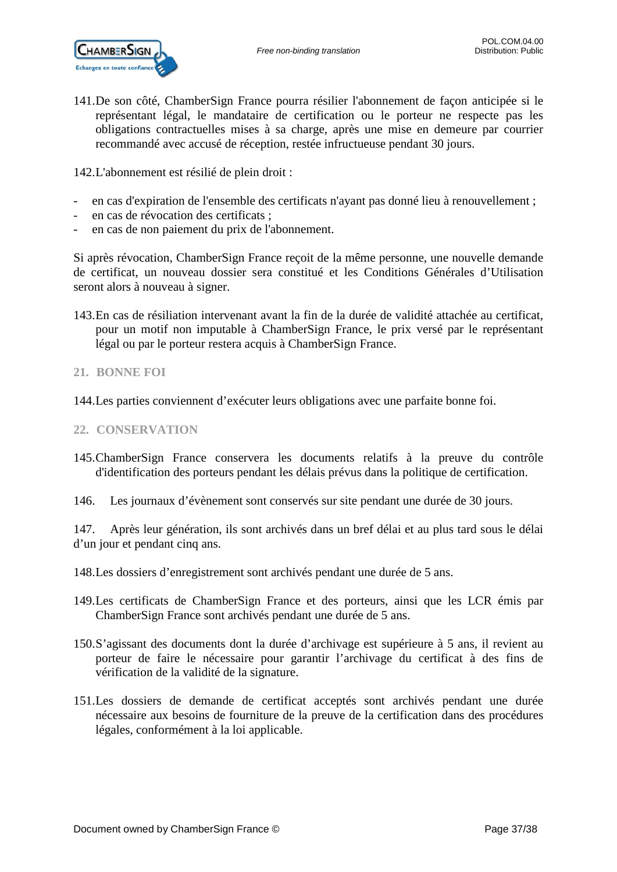

141.De son côté, ChamberSign France pourra résilier l'abonnement de façon anticipée si le représentant légal, le mandataire de certification ou le porteur ne respecte pas les obligations contractuelles mises à sa charge, après une mise en demeure par courrier recommandé avec accusé de réception, restée infructueuse pendant 30 jours.

142.L'abonnement est résilié de plein droit :

- en cas d'expiration de l'ensemble des certificats n'ayant pas donné lieu à renouvellement ;
- en cas de révocation des certificats ;
- en cas de non paiement du prix de l'abonnement.

Si après révocation, ChamberSign France reçoit de la même personne, une nouvelle demande de certificat, un nouveau dossier sera constitué et les Conditions Générales d'Utilisation seront alors à nouveau à signer.

143.En cas de résiliation intervenant avant la fin de la durée de validité attachée au certificat, pour un motif non imputable à ChamberSign France, le prix versé par le représentant légal ou par le porteur restera acquis à ChamberSign France.

### <span id="page-36-0"></span>**21. BONNE FOI**

144.Les parties conviennent d'exécuter leurs obligations avec une parfaite bonne foi.

### <span id="page-36-1"></span>**22. CONSERVATION**

- 145.ChamberSign France conservera les documents relatifs à la preuve du contrôle d'identification des porteurs pendant les délais prévus dans la politique de certification.
- 146. Les journaux d'évènement sont conservés sur site pendant une durée de 30 jours.

147. Après leur génération, ils sont archivés dans un bref délai et au plus tard sous le délai d'un jour et pendant cinq ans.

- 148.Les dossiers d'enregistrement sont archivés pendant une durée de 5 ans.
- 149.Les certificats de ChamberSign France et des porteurs, ainsi que les LCR émis par ChamberSign France sont archivés pendant une durée de 5 ans.
- 150.S'agissant des documents dont la durée d'archivage est supérieure à 5 ans, il revient au porteur de faire le nécessaire pour garantir l'archivage du certificat à des fins de vérification de la validité de la signature.
- 151.Les dossiers de demande de certificat acceptés sont archivés pendant une durée nécessaire aux besoins de fourniture de la preuve de la certification dans des procédures légales, conformément à la loi applicable.